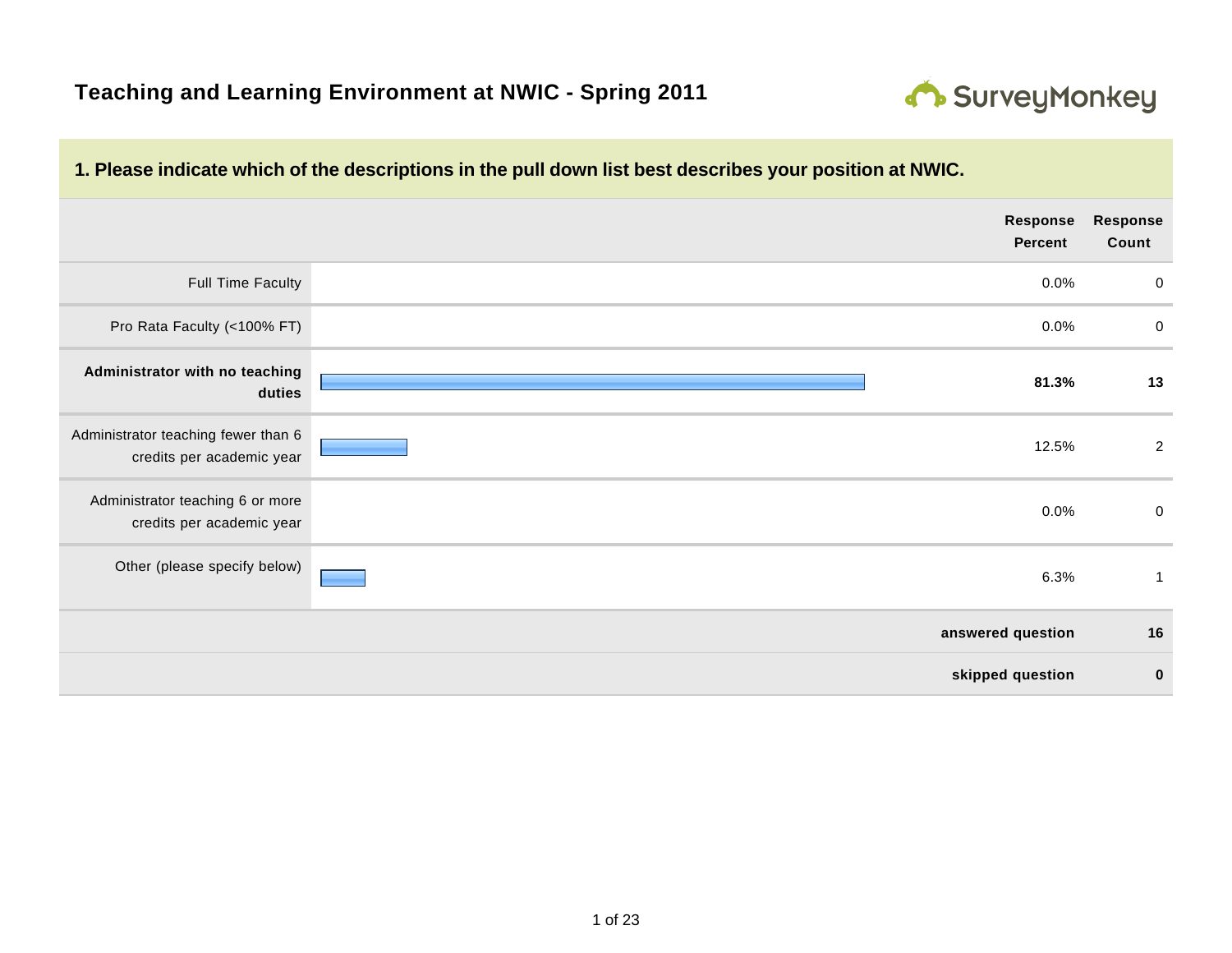

## **1. Please indicate which of the descriptions in the pull down list best describes your position at NWIC.**

|                                                                  | Response<br><b>Percent</b> | <b>Response</b><br>Count |
|------------------------------------------------------------------|----------------------------|--------------------------|
| Full Time Faculty                                                | 0.0%                       | $\mathbf 0$              |
| Pro Rata Faculty (<100% FT)                                      | 0.0%                       | $\boldsymbol{0}$         |
| Administrator with no teaching<br>duties                         | 81.3%                      | 13                       |
| Administrator teaching fewer than 6<br>credits per academic year | 12.5%                      | $\overline{2}$           |
| Administrator teaching 6 or more<br>credits per academic year    | 0.0%                       | $\boldsymbol{0}$         |
| Other (please specify below)                                     | 6.3%                       | 1                        |
|                                                                  | answered question          | 16                       |
|                                                                  | skipped question           | $\bf{0}$                 |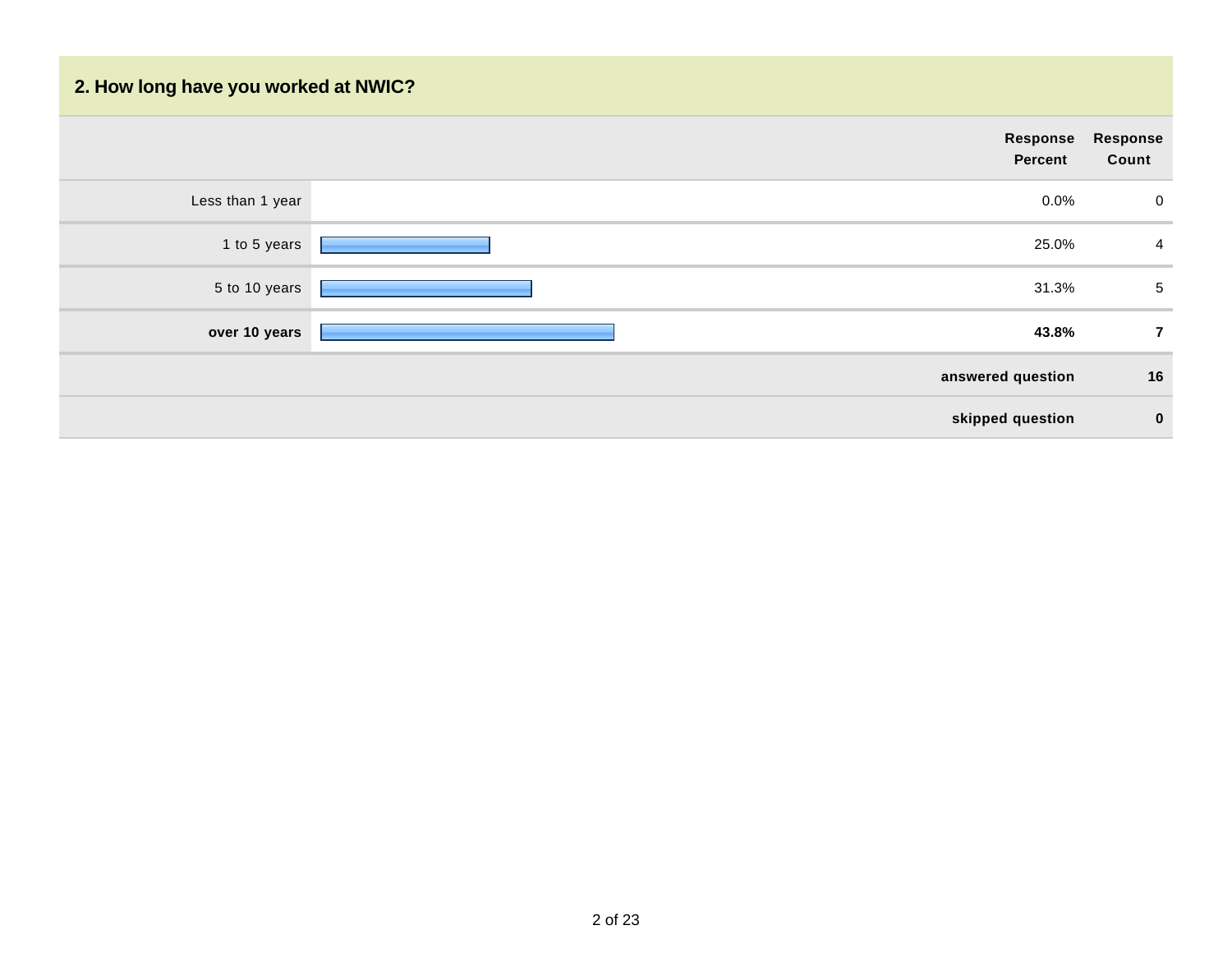# **2. How long have you worked at NWIC?**

|                  | Response<br><b>Percent</b> | Response<br>Count         |
|------------------|----------------------------|---------------------------|
| Less than 1 year |                            | $0.0\%$<br>$\overline{0}$ |
| 1 to 5 years     |                            | 25.0%<br>$\overline{4}$   |
| 5 to 10 years    |                            | 31.3%<br>5                |
| over 10 years    |                            | 43.8%<br>$\mathbf{7}$     |
|                  | answered question          | 16                        |
|                  | skipped question           | $\mathbf 0$               |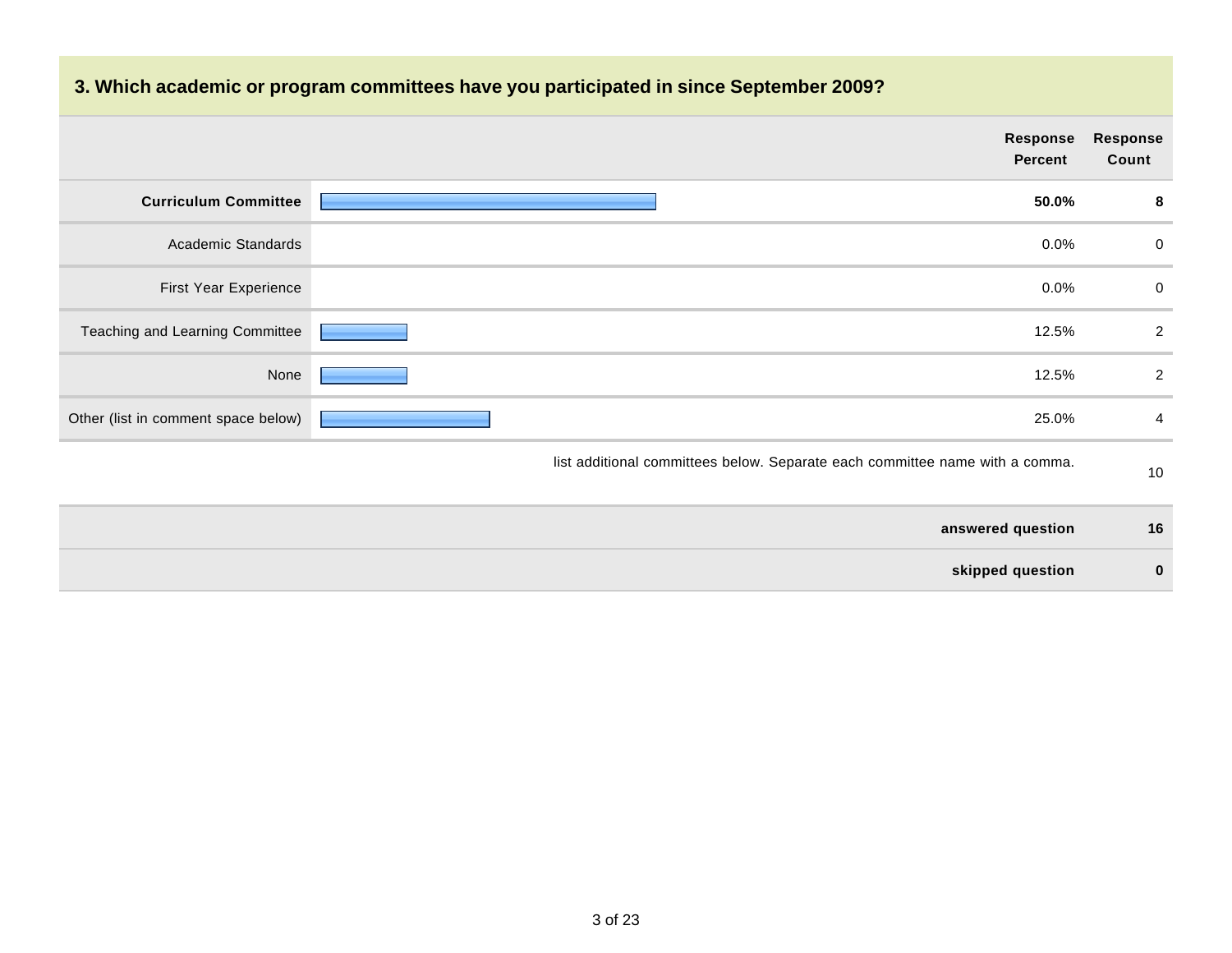# **3. Which academic or program committees have you participated in since September 2009?**

|                                     | Response<br>Percent                                                          | Response<br>Count |
|-------------------------------------|------------------------------------------------------------------------------|-------------------|
| <b>Curriculum Committee</b>         | 50.0%                                                                        | -8                |
| Academic Standards                  | $0.0\%$                                                                      | $\mathbf 0$       |
| First Year Experience               | $0.0\%$                                                                      | $\overline{0}$    |
| Teaching and Learning Committee     | 12.5%                                                                        | 2                 |
| None                                | 12.5%                                                                        | $\overline{2}$    |
| Other (list in comment space below) | 25.0%                                                                        | 4                 |
|                                     | list additional committees below. Separate each committee name with a comma. | 10                |

| answered question | 16 |
|-------------------|----|
| skipped question  |    |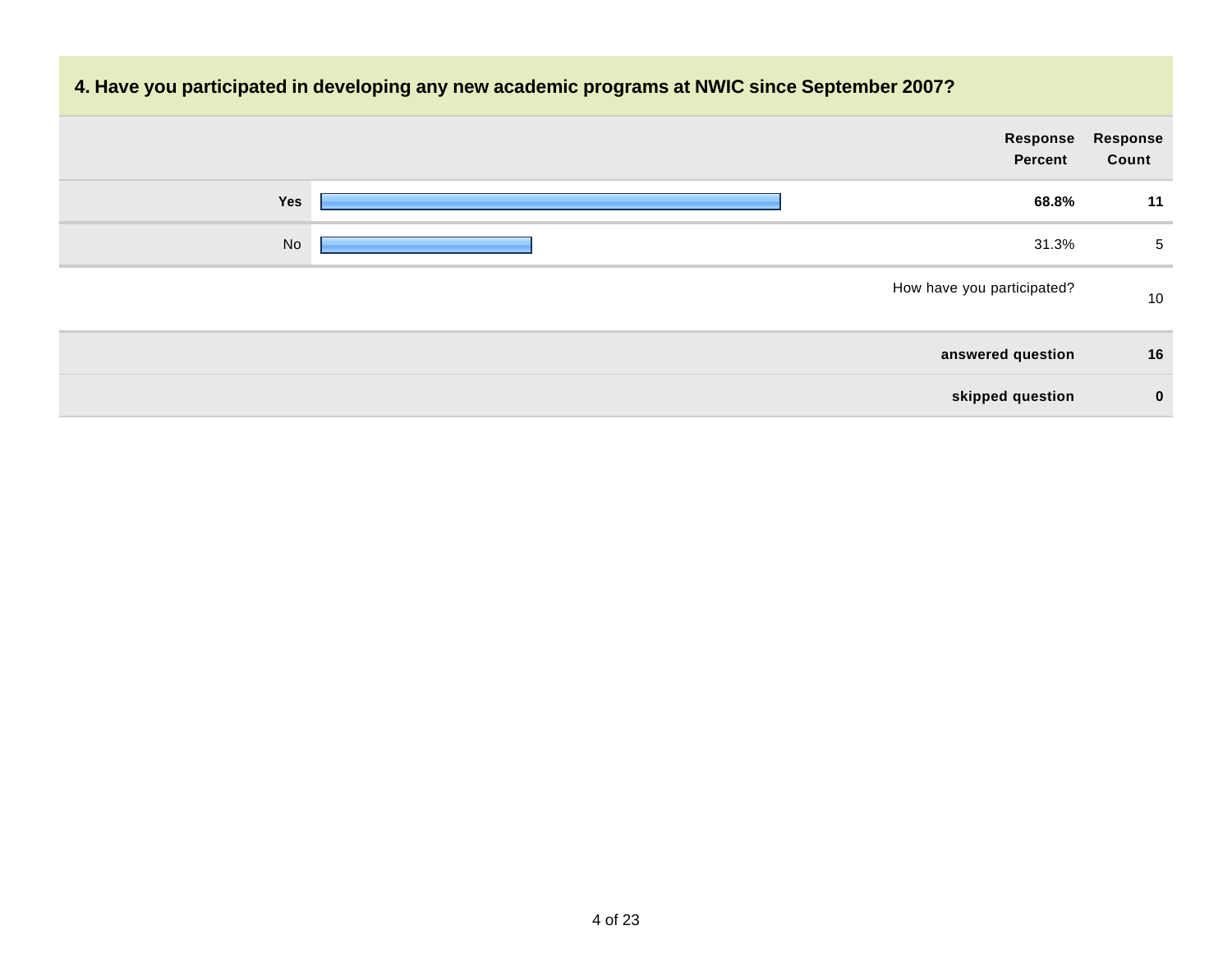# **4. Have you participated in developing any new academic programs at NWIC since September 2007? Response Percent Response Count Yes 68.8% 11** No  $\sim$  31.3% 5 How have you participated? 10 **answered question 16 skipped question 0**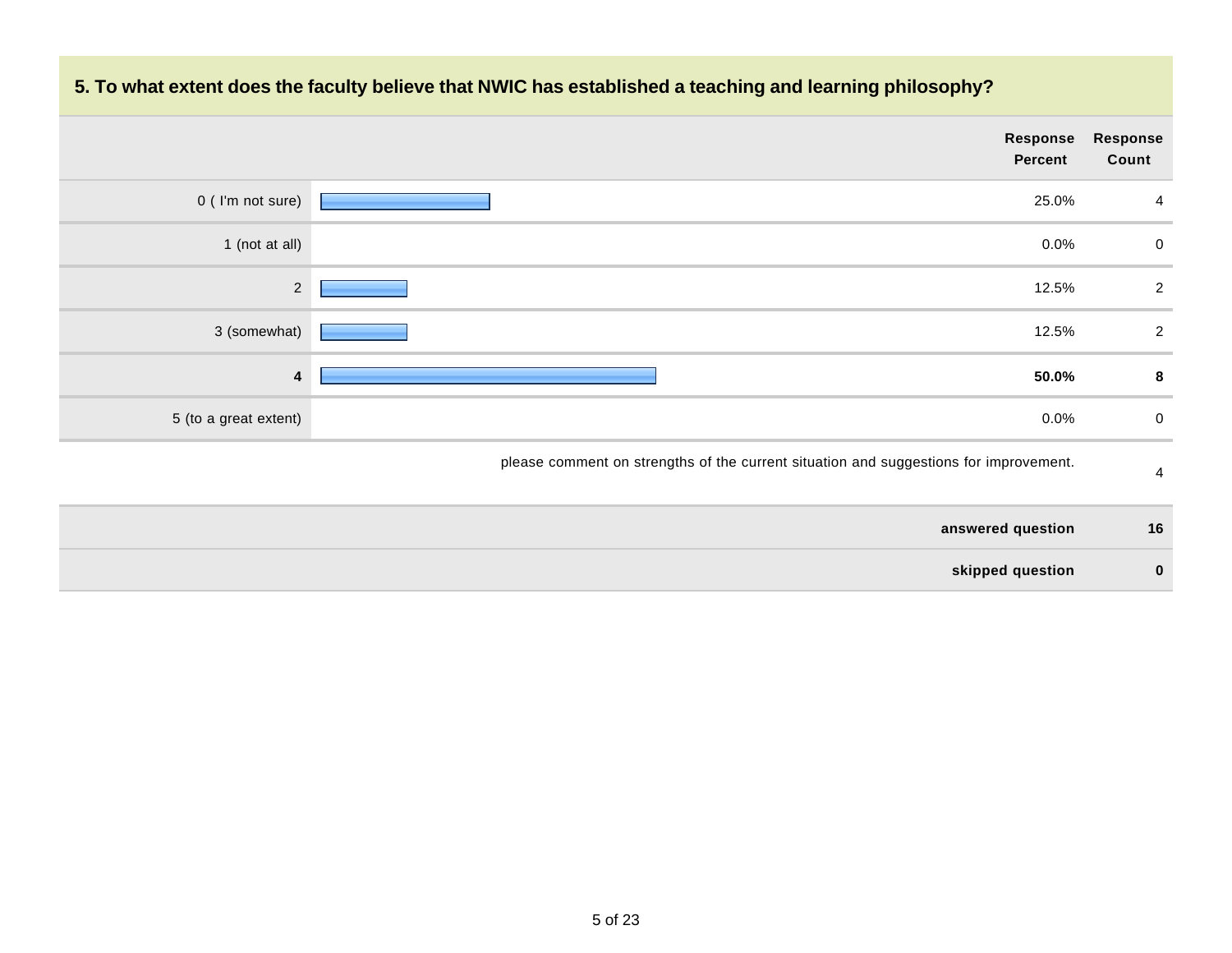

## **5. To what extent does the faculty believe that NWIC has established a teaching and learning philosophy?**

| answered question | 16 |
|-------------------|----|
| skipped question  |    |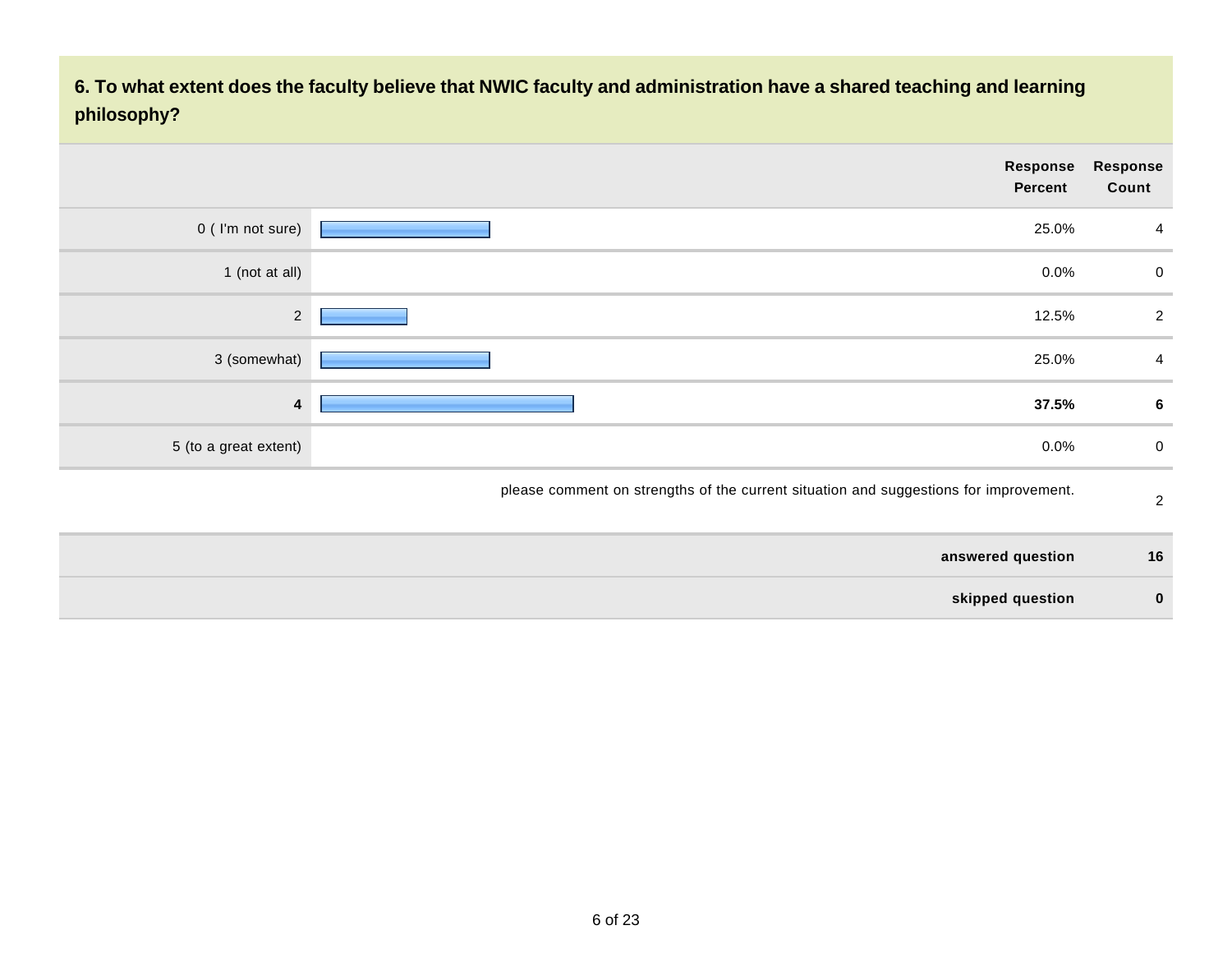## **6. To what extent does the faculty believe that NWIC faculty and administration have a shared teaching and learning philosophy?**

|                       | Response<br><b>Percent</b>                                                            | Response<br>Count |
|-----------------------|---------------------------------------------------------------------------------------|-------------------|
| 0 (I'm not sure)      | 25.0%                                                                                 | 4                 |
| 1 (not at all)        | 0.0%                                                                                  | $\mathbf 0$       |
| $\overline{2}$        | 12.5%                                                                                 | $\overline{2}$    |
| 3 (somewhat)          | 25.0%                                                                                 | $\overline{4}$    |
| 4                     | 37.5%                                                                                 | 6                 |
| 5 (to a great extent) | 0.0%                                                                                  | $\mathbf 0$       |
|                       | please comment on strengths of the current situation and suggestions for improvement. | $\overline{2}$    |

| answered question | 16       |
|-------------------|----------|
| skipped question  | $\Omega$ |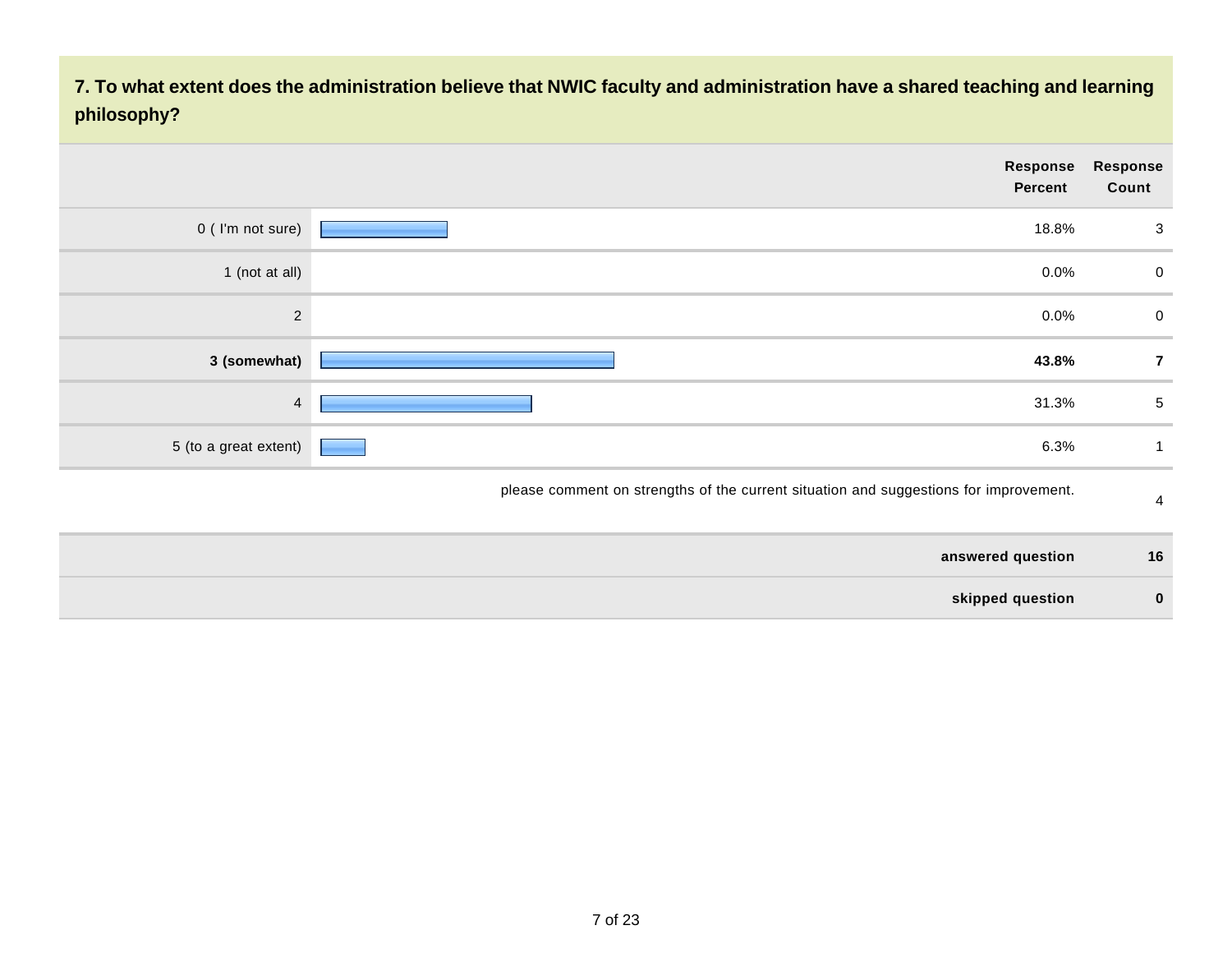**7. To what extent does the administration believe that NWIC faculty and administration have a shared teaching and learning philosophy?**

|                       | Response<br><b>Percent</b>                                                            | Response<br>Count |
|-----------------------|---------------------------------------------------------------------------------------|-------------------|
| 0 (I'm not sure)      | 18.8%                                                                                 | 3                 |
| 1 (not at all)        | 0.0%                                                                                  | 0                 |
| $\overline{2}$        | 0.0%                                                                                  | 0                 |
| 3 (somewhat)          | 43.8%                                                                                 | $\overline{7}$    |
| $\overline{4}$        | 31.3%                                                                                 | $\sqrt{5}$        |
| 5 (to a great extent) | 6.3%                                                                                  |                   |
|                       | please comment on strengths of the current situation and suggestions for improvement. | 4                 |

| answered question | 16 |
|-------------------|----|
| skipped question  | 0  |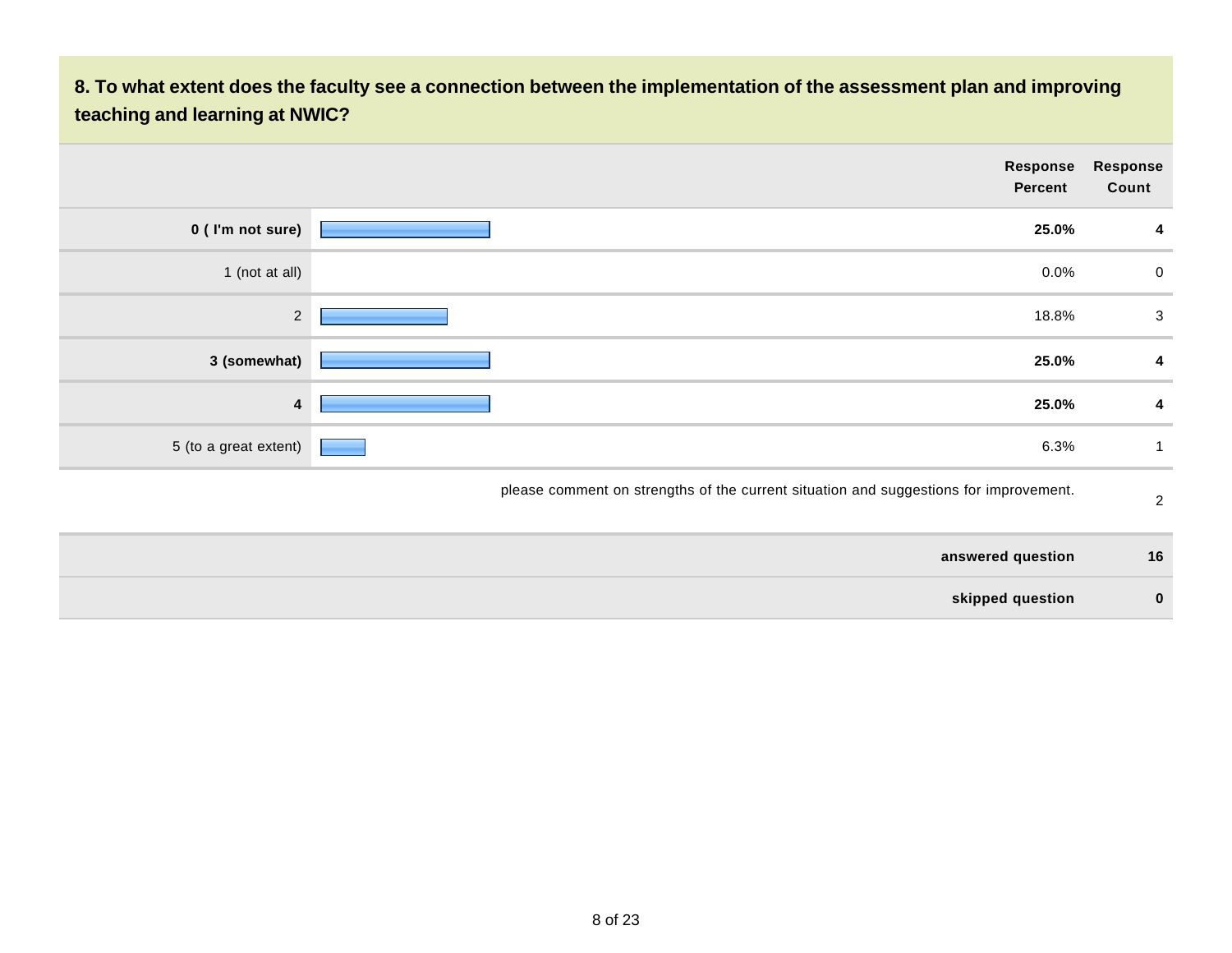## **8. To what extent does the faculty see a connection between the implementation of the assessment plan and improving teaching and learning at NWIC?**

|                       | Response<br>Percent                                                                   | Response<br>Count |
|-----------------------|---------------------------------------------------------------------------------------|-------------------|
| 0 (I'm not sure)      | 25.0%                                                                                 | 4                 |
| 1 (not at all)        | 0.0%                                                                                  | $\overline{0}$    |
| $\overline{2}$        | 18.8%                                                                                 | 3                 |
| 3 (somewhat)          | 25.0%                                                                                 | 4                 |
| 4                     | 25.0%                                                                                 | 4                 |
| 5 (to a great extent) | 6.3%                                                                                  |                   |
|                       | please comment on strengths of the current situation and suggestions for improvement. | $\overline{2}$    |

| answered question | 16       |
|-------------------|----------|
| skipped question  | $\bf{0}$ |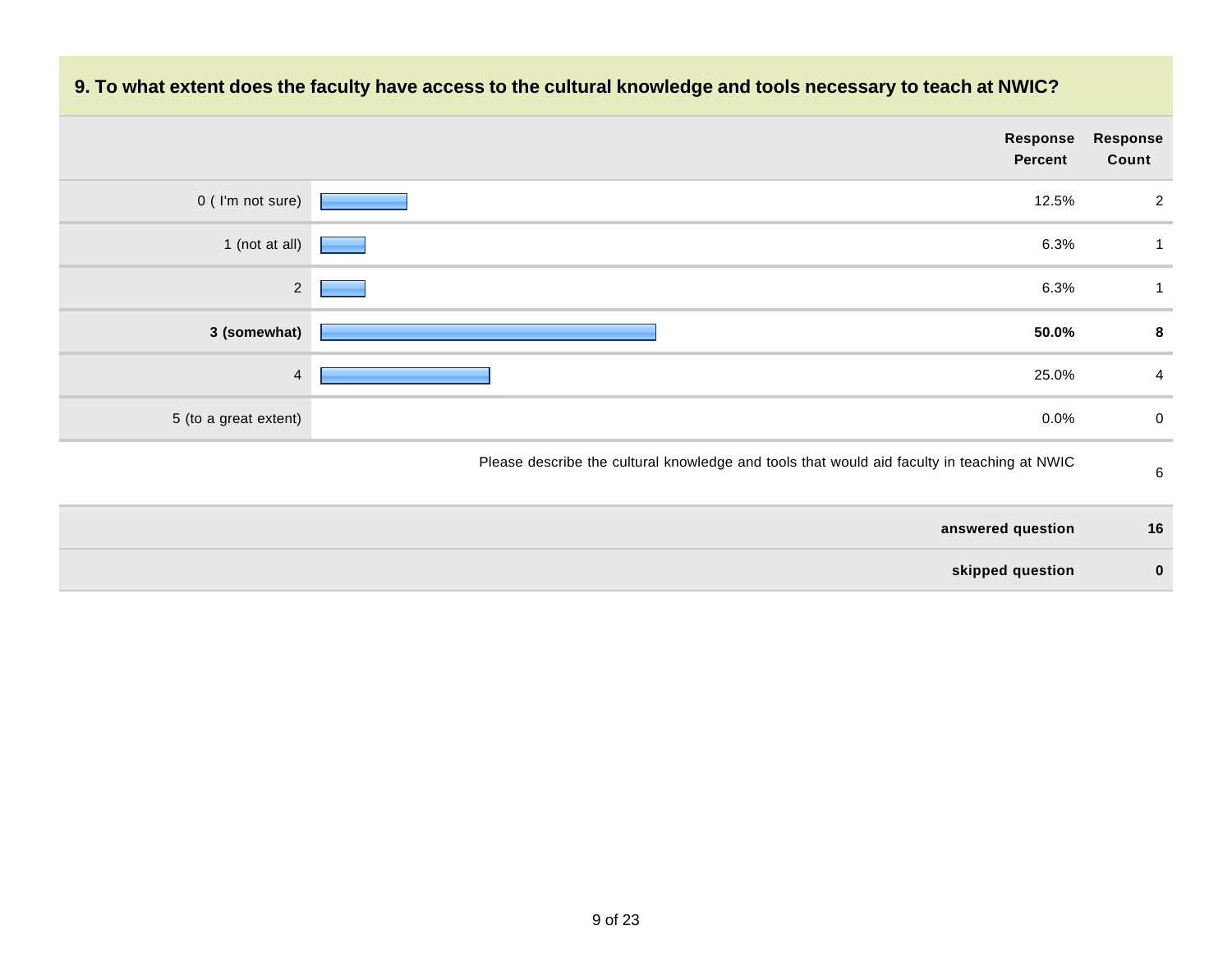# **Response Percent Response Count**  $0$  ( I'm not sure)  $\sqrt{2}$  2 1 (not at all) 6.3% 1 2 **6.3%** 1 **3 (somewhat) 50.0% 8** 4 25.0% 4 5 (to a great extent) 0.0% 0 Please describe the cultural knowledge and tools that would aid faculty in teaching at NWIC 6

## **9. To what extent does the faculty have access to the cultural knowledge and tools necessary to teach at NWIC?**

| answered question | 16 |
|-------------------|----|
| skipped question  |    |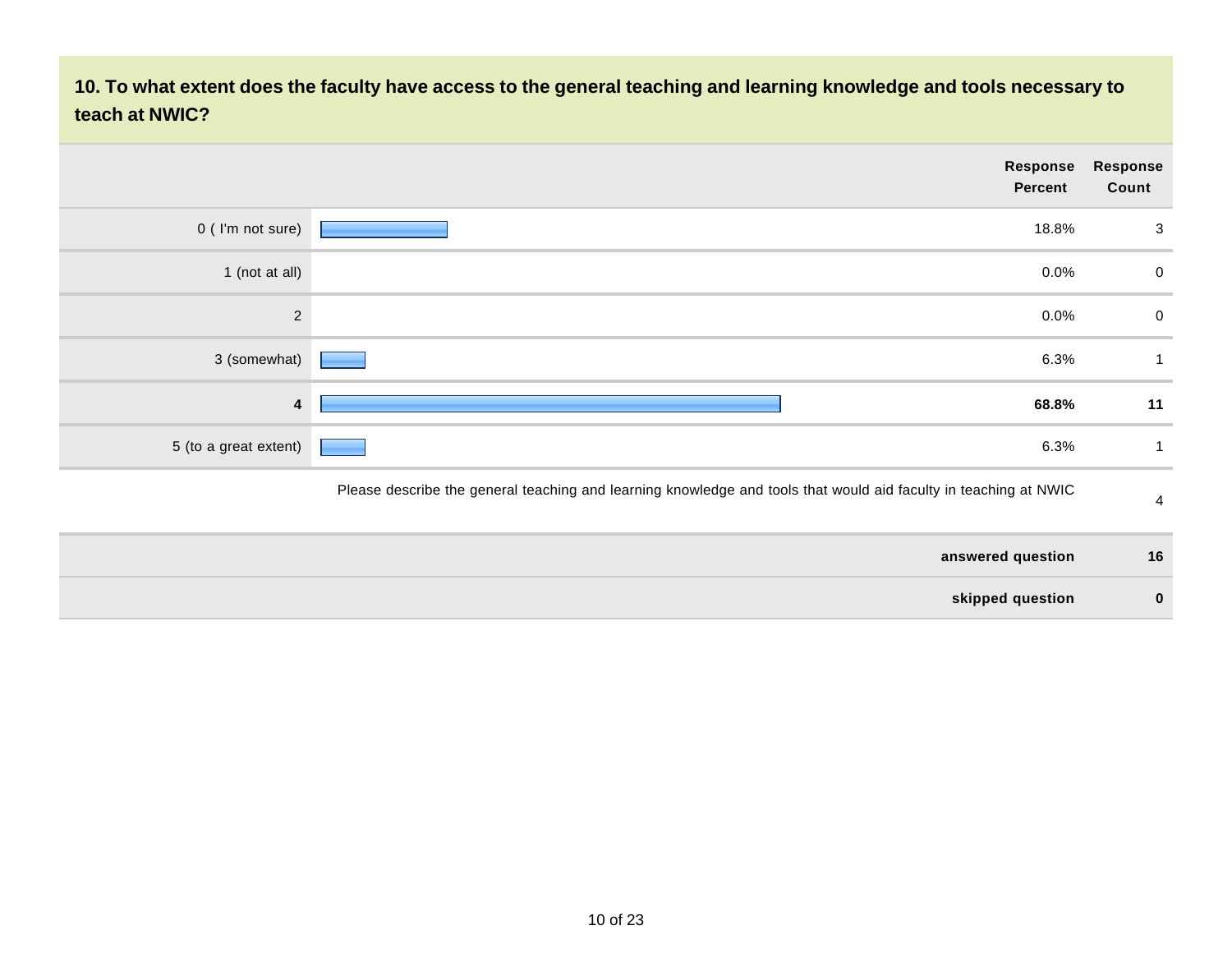**10. To what extent does the faculty have access to the general teaching and learning knowledge and tools necessary to teach at NWIC?**

|                       |                                                                                                                  | Response<br><b>Percent</b> | Response<br>Count |
|-----------------------|------------------------------------------------------------------------------------------------------------------|----------------------------|-------------------|
| 0 (I'm not sure)      |                                                                                                                  | 18.8%                      | 3                 |
| 1 (not at all)        |                                                                                                                  | 0.0%                       | $\mathbf 0$       |
| $\sqrt{2}$            |                                                                                                                  | 0.0%                       | $\overline{0}$    |
| 3 (somewhat)          |                                                                                                                  | 6.3%                       |                   |
| 4                     |                                                                                                                  | 68.8%                      | 11                |
| 5 (to a great extent) |                                                                                                                  | 6.3%                       |                   |
|                       | Please describe the general teaching and learning knowledge and tools that would aid faculty in teaching at NWIC |                            | 4                 |
|                       |                                                                                                                  | answered question          | 16                |

**skipped question 0**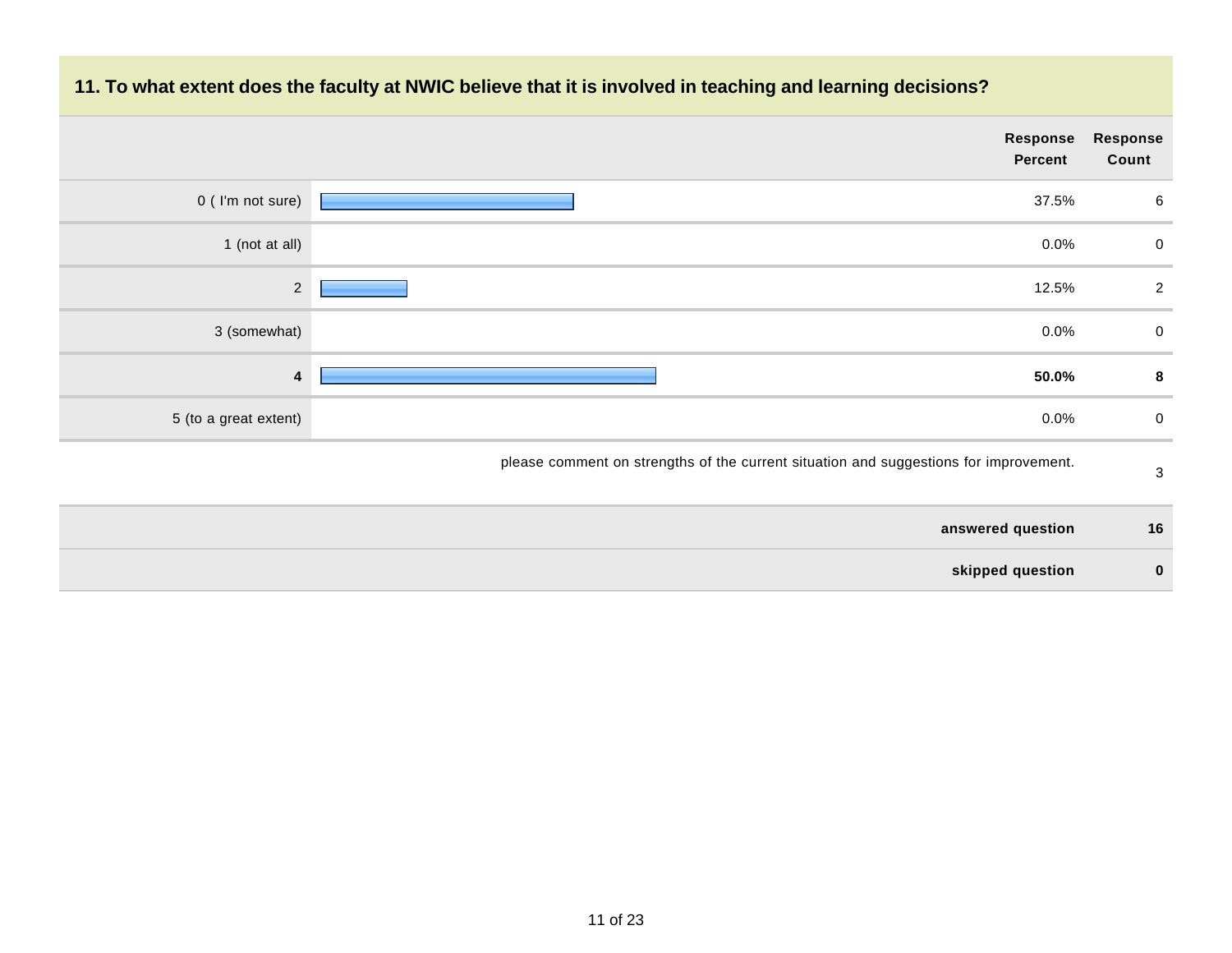|                       | Response<br><b>Percent</b>                                                            | Response<br>Count |
|-----------------------|---------------------------------------------------------------------------------------|-------------------|
| 0 (I'm not sure)      | 37.5%                                                                                 | 6                 |
| 1 (not at all)        | $0.0\%$                                                                               | $\overline{0}$    |
| $\overline{2}$        | 12.5%                                                                                 | $\overline{2}$    |
| 3 (somewhat)          | $0.0\%$                                                                               | $\mathbf{0}$      |
| $\boldsymbol{4}$      | 50.0%                                                                                 | 8                 |
| 5 (to a great extent) | $0.0\%$                                                                               | $\mathbf 0$       |
|                       | please comment on strengths of the current situation and suggestions for improvement. | $\mathbf{3}$      |

## **11. To what extent does the faculty at NWIC believe that it is involved in teaching and learning decisions?**

| answered question | 16 |
|-------------------|----|
| skipped question  |    |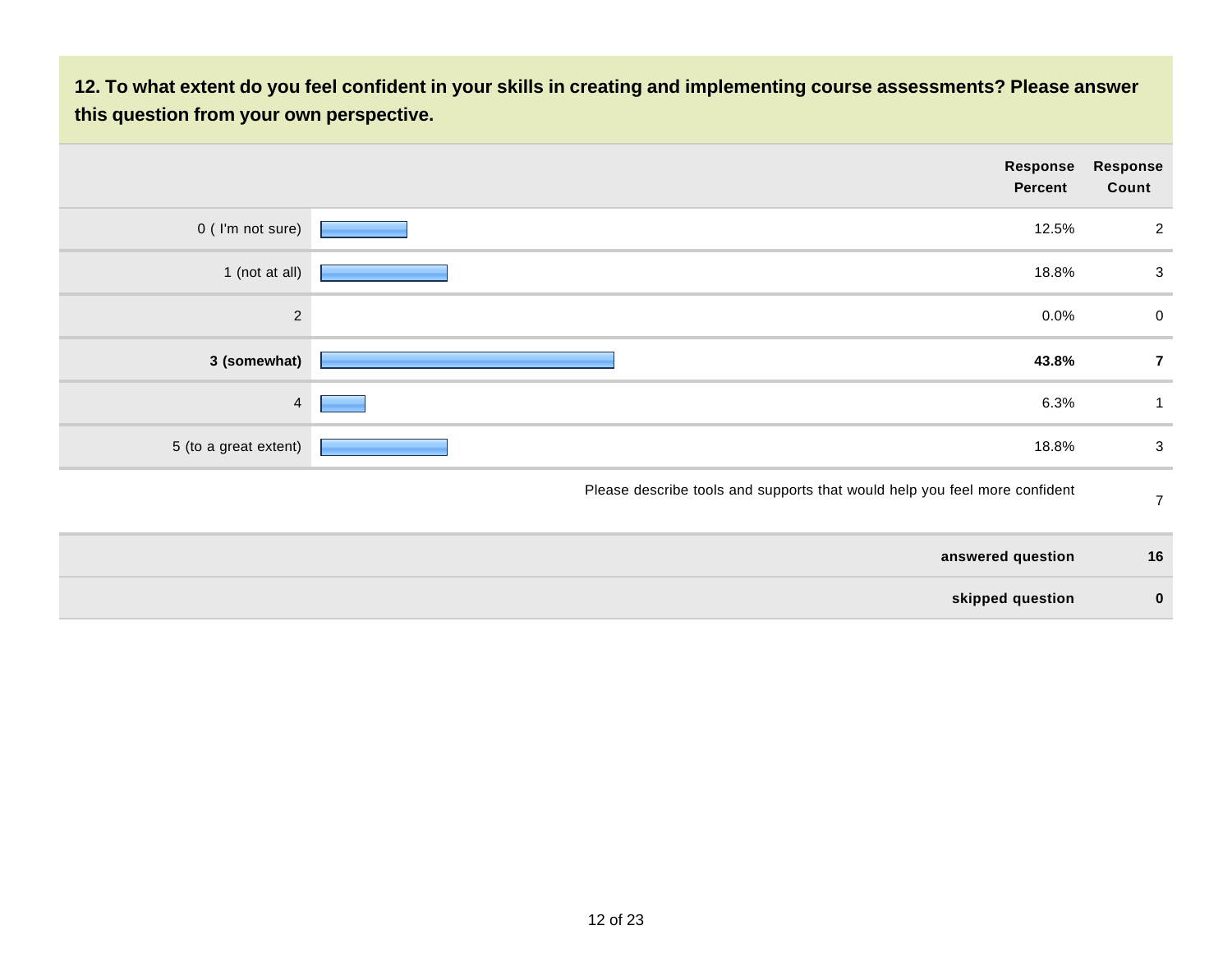**12. To what extent do you feel confident in your skills in creating and implementing course assessments? Please answer this question from your own perspective.**

| Response<br>Count | Response<br><b>Percent</b>                                                 |                       |
|-------------------|----------------------------------------------------------------------------|-----------------------|
| $\overline{2}$    | 12.5%                                                                      | 0 (I'm not sure)      |
| $\mathsf 3$       | 18.8%                                                                      | 1 (not at all)        |
| $\mathbf 0$       | 0.0%                                                                       | $\sqrt{2}$            |
| 7                 | 43.8%                                                                      | 3 (somewhat)          |
| $\mathbf{1}$      | 6.3%                                                                       | $\overline{4}$        |
| $\mathsf 3$       | 18.8%                                                                      | 5 (to a great extent) |
| $\overline{7}$    | Please describe tools and supports that would help you feel more confident |                       |
| 16                | answered question                                                          |                       |
| $\mathbf 0$       | skipped question                                                           |                       |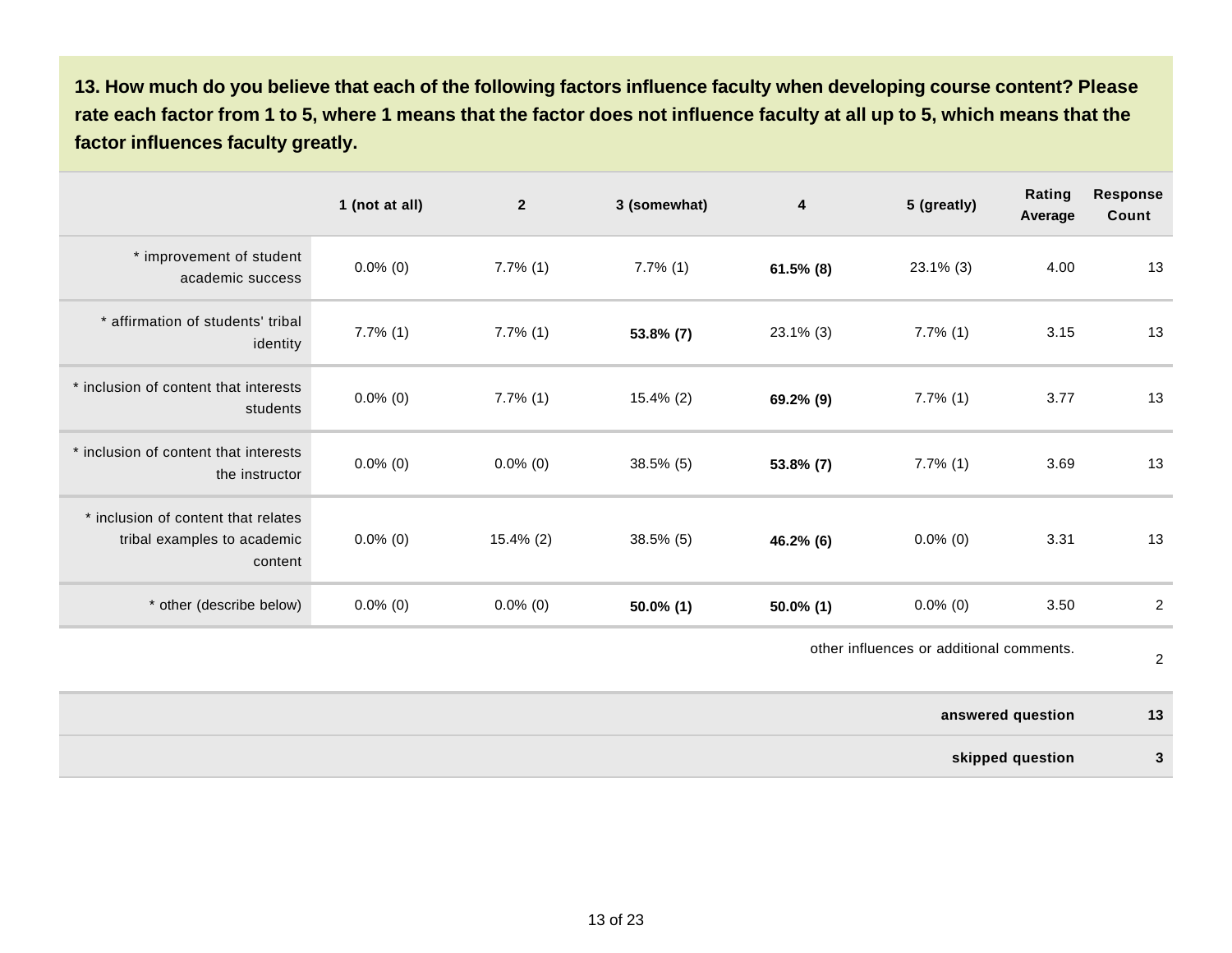**13. How much do you believe that each of the following factors influence faculty when developing course content? Please rate each factor from 1 to 5, where 1 means that the factor does not influence faculty at all up to 5, which means that the factor influences faculty greatly.** 

|                                                                               | 1 (not at all) | $\overline{2}$ | 3 (somewhat) | 4            | 5 (greatly)  | Rating<br>Average | <b>Response</b><br>Count |
|-------------------------------------------------------------------------------|----------------|----------------|--------------|--------------|--------------|-------------------|--------------------------|
| * improvement of student<br>academic success                                  | $0.0\%$ (0)    | $7.7\%$ (1)    | $7.7\%$ (1)  | $61.5\%$ (8) | $23.1\%$ (3) | 4.00              | 13                       |
| * affirmation of students' tribal<br>identity                                 | $7.7\%$ (1)    | $7.7\%$ (1)    | 53.8% (7)    | $23.1\%$ (3) | $7.7\%$ (1)  | 3.15              | 13                       |
| * inclusion of content that interests<br>students                             | $0.0\%$ (0)    | $7.7\%$ (1)    | $15.4\%$ (2) | 69.2% (9)    | $7.7\%$ (1)  | 3.77              | 13                       |
| * inclusion of content that interests<br>the instructor                       | $0.0\%$ (0)    | $0.0\%$ (0)    | $38.5\%$ (5) | $53.8\%$ (7) | $7.7\%$ (1)  | 3.69              | 13                       |
| * inclusion of content that relates<br>tribal examples to academic<br>content | $0.0\%$ (0)    | $15.4\%$ (2)   | $38.5\%$ (5) | 46.2% (6)    | $0.0\%$ (0)  | 3.31              | 13                       |
| * other (describe below)                                                      | $0.0\%$ (0)    | $0.0\%$ (0)    | $50.0\%$ (1) | $50.0\%$ (1) | $0.0\%$ (0)  | 3.50              | $\overline{c}$           |

other influences or additional comments.

**answered question 13**

2

**skipped question 3**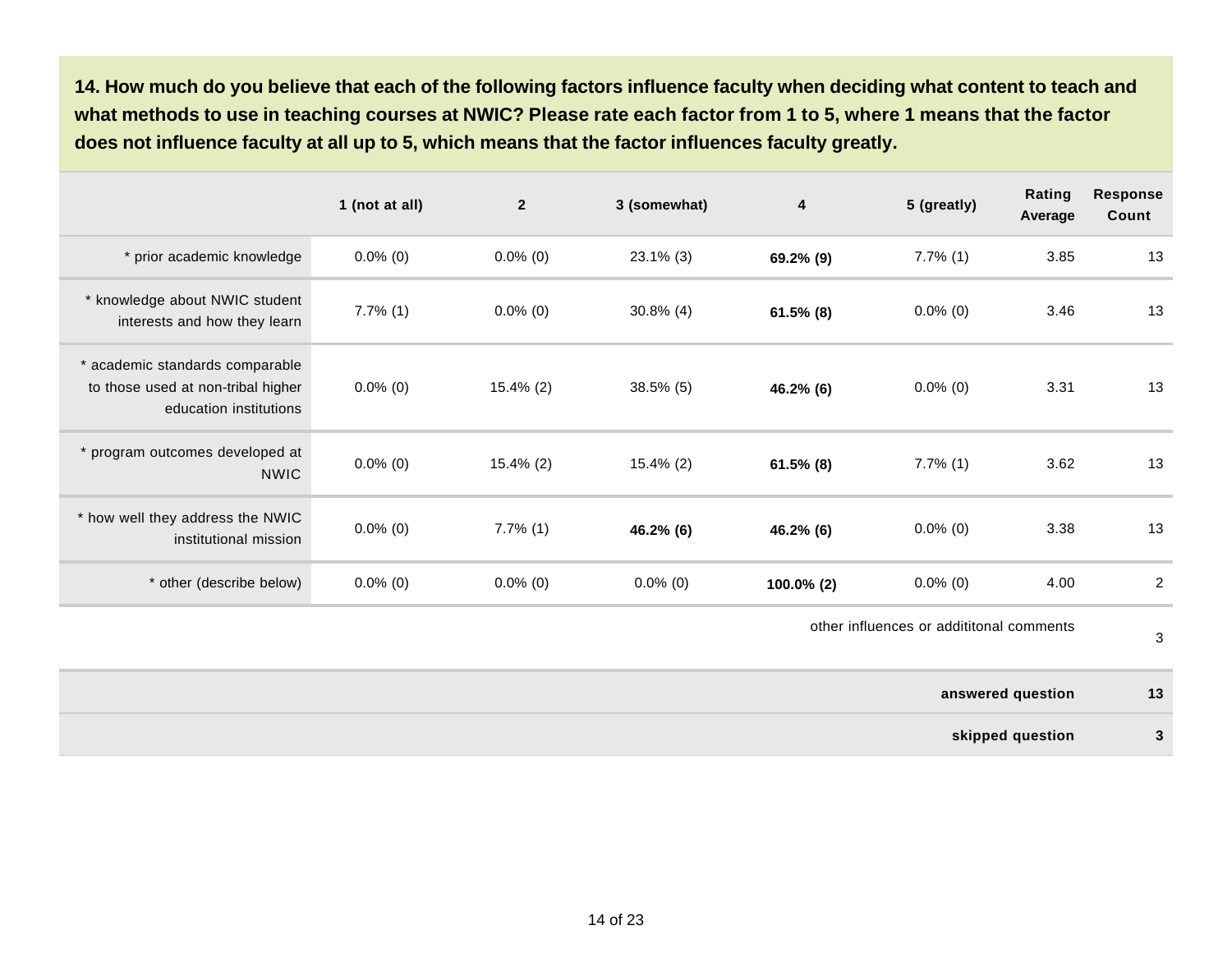**14. How much do you believe that each of the following factors influence faculty when deciding what content to teach and what methods to use in teaching courses at NWIC? Please rate each factor from 1 to 5, where 1 means that the factor does not influence faculty at all up to 5, which means that the factor influences faculty greatly.** 

|                                                                                                 | 1 (not at all) | $\mathbf{2}$ | 3 (somewhat) | 4            | 5 (greatly) | Rating<br>Average | <b>Response</b><br>Count |
|-------------------------------------------------------------------------------------------------|----------------|--------------|--------------|--------------|-------------|-------------------|--------------------------|
| * prior academic knowledge                                                                      | $0.0\%$ (0)    | $0.0\%$ (0)  | $23.1\%$ (3) | 69.2% (9)    | $7.7\%$ (1) | 3.85              | 13                       |
| * knowledge about NWIC student<br>interests and how they learn                                  | $7.7\%$ (1)    | $0.0\%$ (0)  | $30.8\%$ (4) | $61.5\%$ (8) | $0.0\%$ (0) | 3.46              | 13                       |
| * academic standards comparable<br>to those used at non-tribal higher<br>education institutions | $0.0\%$ (0)    | $15.4\%$ (2) | $38.5\%$ (5) | 46.2% (6)    | $0.0\%$ (0) | 3.31              | 13                       |
| * program outcomes developed at<br><b>NWIC</b>                                                  | $0.0\%$ (0)    | $15.4\%$ (2) | $15.4\%$ (2) | $61.5\%$ (8) | $7.7\%$ (1) | 3.62              | 13                       |
| * how well they address the NWIC<br>institutional mission                                       | $0.0\%$ (0)    | $7.7\%$ (1)  | 46.2% (6)    | 46.2% (6)    | $0.0\%$ (0) | 3.38              | 13                       |
| * other (describe below)                                                                        | $0.0\%$ (0)    | $0.0\%$ (0)  | $0.0\%$ (0)  | 100.0% (2)   | $0.0\%$ (0) | 4.00              | $\overline{2}$           |

other influences or addititonal comments

3

|  | answered question | 13 |
|--|-------------------|----|
|  | skipped question  |    |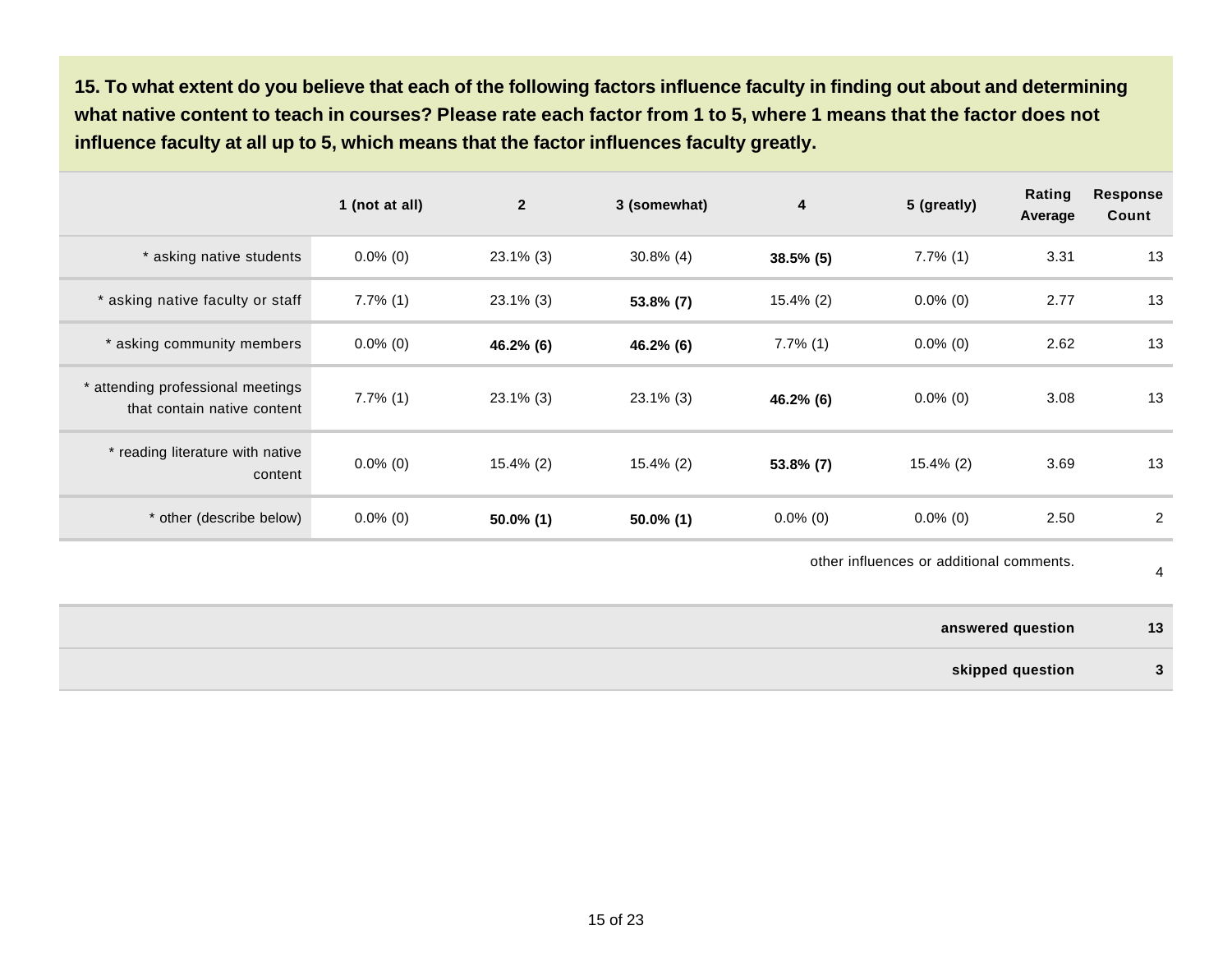**15. To what extent do you believe that each of the following factors influence faculty in finding out about and determining what native content to teach in courses? Please rate each factor from 1 to 5, where 1 means that the factor does not influence faculty at all up to 5, which means that the factor influences faculty greatly.** 

|                                                                  | 1 (not at all) | $\overline{2}$ | 3 (somewhat) | 4            | 5 (greatly)  | Rating<br>Average | <b>Response</b><br>Count |
|------------------------------------------------------------------|----------------|----------------|--------------|--------------|--------------|-------------------|--------------------------|
| * asking native students                                         | $0.0\%$ (0)    | $23.1\%$ (3)   | $30.8\%$ (4) | $38.5\%$ (5) | $7.7\%$ (1)  | 3.31              | 13                       |
| * asking native faculty or staff                                 | $7.7\%$ (1)    | $23.1\%$ (3)   | 53.8% (7)    | $15.4\%$ (2) | $0.0\%$ (0)  | 2.77              | 13                       |
| * asking community members                                       | $0.0\%$ (0)    | 46.2% (6)      | 46.2% (6)    | $7.7\%$ (1)  | $0.0\%$ (0)  | 2.62              | 13                       |
| * attending professional meetings<br>that contain native content | $7.7\%$ (1)    | $23.1\%$ (3)   | $23.1\%$ (3) | 46.2% (6)    | $0.0\%$ (0)  | 3.08              | 13                       |
| reading literature with native<br>content                        | $0.0\%$ (0)    | $15.4\%$ (2)   | $15.4\%$ (2) | $53.8\%$ (7) | $15.4\%$ (2) | 3.69              | 13                       |
| * other (describe below)                                         | $0.0\%$ (0)    | $50.0\%$ (1)   | $50.0\%$ (1) | $0.0\%$ (0)  | $0.0\%$ (0)  | 2.50              | 2                        |

other influences or additional comments.

4

| answered question | 13 |
|-------------------|----|
| skipped question  |    |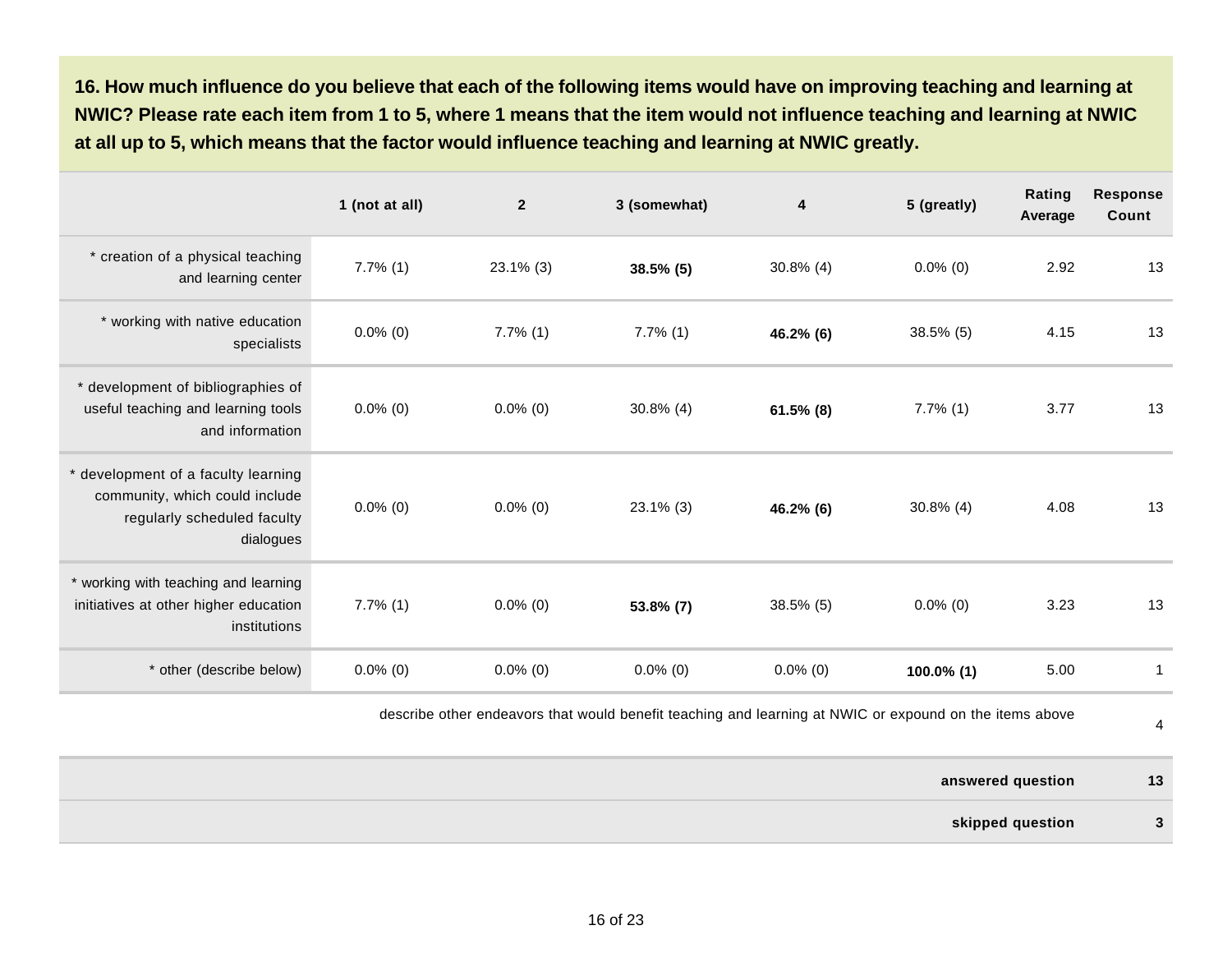**16. How much influence do you believe that each of the following items would have on improving teaching and learning at NWIC? Please rate each item from 1 to 5, where 1 means that the item would not influence teaching and learning at NWIC at all up to 5, which means that the factor would influence teaching and learning at NWIC greatly.** 

|                                                                                                                   | 1 (not at all) | $\overline{2}$ | 3 (somewhat) | 4            | 5 (greatly)   | Rating<br>Average | <b>Response</b><br>Count |
|-------------------------------------------------------------------------------------------------------------------|----------------|----------------|--------------|--------------|---------------|-------------------|--------------------------|
| * creation of a physical teaching<br>and learning center                                                          | $7.7\%$ (1)    | 23.1% (3)      | $38.5\%$ (5) | $30.8\%$ (4) | $0.0\%$ (0)   | 2.92              | 13                       |
| * working with native education<br>specialists                                                                    | $0.0\%$ (0)    | $7.7\%$ (1)    | $7.7\%$ (1)  | 46.2% (6)    | 38.5% (5)     | 4.15              | 13                       |
| * development of bibliographies of<br>useful teaching and learning tools<br>and information                       | $0.0\%$ (0)    | $0.0\%$ (0)    | $30.8\%$ (4) | $61.5\%$ (8) | $7.7\%$ (1)   | 3.77              | 13                       |
| * development of a faculty learning<br>community, which could include<br>regularly scheduled faculty<br>dialogues | $0.0\%$ (0)    | $0.0\%$ (0)    | 23.1% (3)    | 46.2% (6)    | $30.8\%$ (4)  | 4.08              | 13                       |
| * working with teaching and learning<br>initiatives at other higher education<br>institutions                     | $7.7\%$ (1)    | $0.0\%$ (0)    | $53.8\%$ (7) | $38.5\%$ (5) | $0.0\%$ (0)   | 3.23              | 13                       |
| * other (describe below)                                                                                          | $0.0\%$ (0)    | $0.0\%$ (0)    | $0.0\%$ (0)  | $0.0\%$ (0)  | $100.0\%$ (1) | 5.00              | 1                        |

describe other endeavors that would benefit teaching and learning at NWIC or expound on the items above

4

**answered question 13 skipped question 3**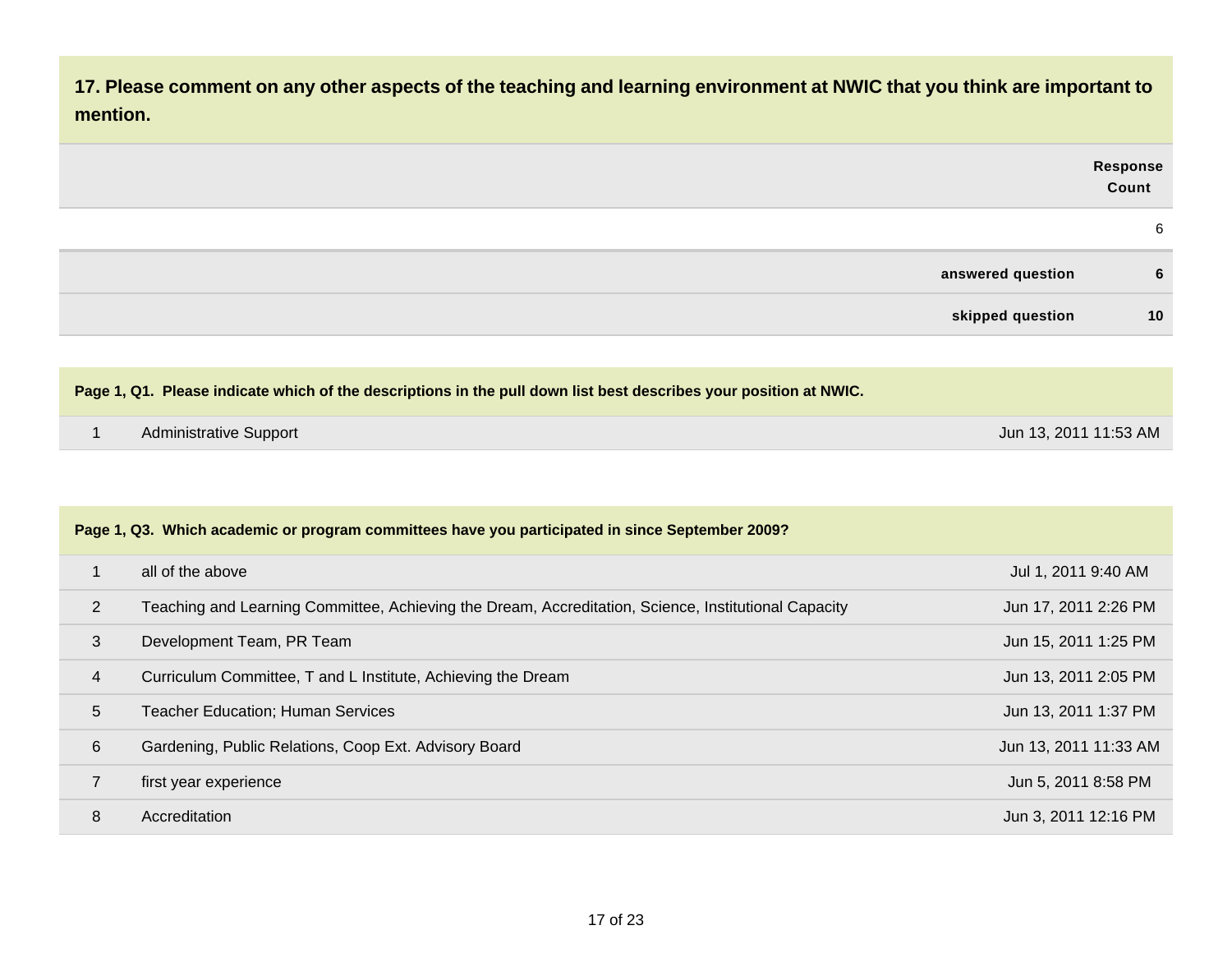| 17. Please comment on any other aspects of the teaching and learning environment at NWIC that you think are important to<br>mention. |                          |
|--------------------------------------------------------------------------------------------------------------------------------------|--------------------------|
|                                                                                                                                      | <b>Response</b><br>Count |
|                                                                                                                                      | 6                        |
| answered question                                                                                                                    | 6                        |
| skipped question                                                                                                                     | 10                       |
|                                                                                                                                      |                          |

### **Page 1, Q1. Please indicate which of the descriptions in the pull down list best describes your position at NWIC.**

| Administrative Support | Jun 13, 2011 11:53 AM |
|------------------------|-----------------------|
|                        |                       |

| Page 1, Q3. Which academic or program committees have you participated in since September 2009? |                                                                                                      |                       |
|-------------------------------------------------------------------------------------------------|------------------------------------------------------------------------------------------------------|-----------------------|
|                                                                                                 | all of the above                                                                                     | Jul 1, 2011 9:40 AM   |
| $\overline{2}$                                                                                  | Teaching and Learning Committee, Achieving the Dream, Accreditation, Science, Institutional Capacity | Jun 17, 2011 2:26 PM  |
| 3                                                                                               | Development Team, PR Team                                                                            | Jun 15, 2011 1:25 PM  |
| 4                                                                                               | Curriculum Committee, T and L Institute, Achieving the Dream                                         | Jun 13, 2011 2:05 PM  |
| 5                                                                                               | <b>Teacher Education; Human Services</b>                                                             | Jun 13, 2011 1:37 PM  |
| 6                                                                                               | Gardening, Public Relations, Coop Ext. Advisory Board                                                | Jun 13, 2011 11:33 AM |
| 7                                                                                               | first year experience                                                                                | Jun 5, 2011 8:58 PM   |
| 8                                                                                               | Accreditation                                                                                        | Jun 3, 2011 12:16 PM  |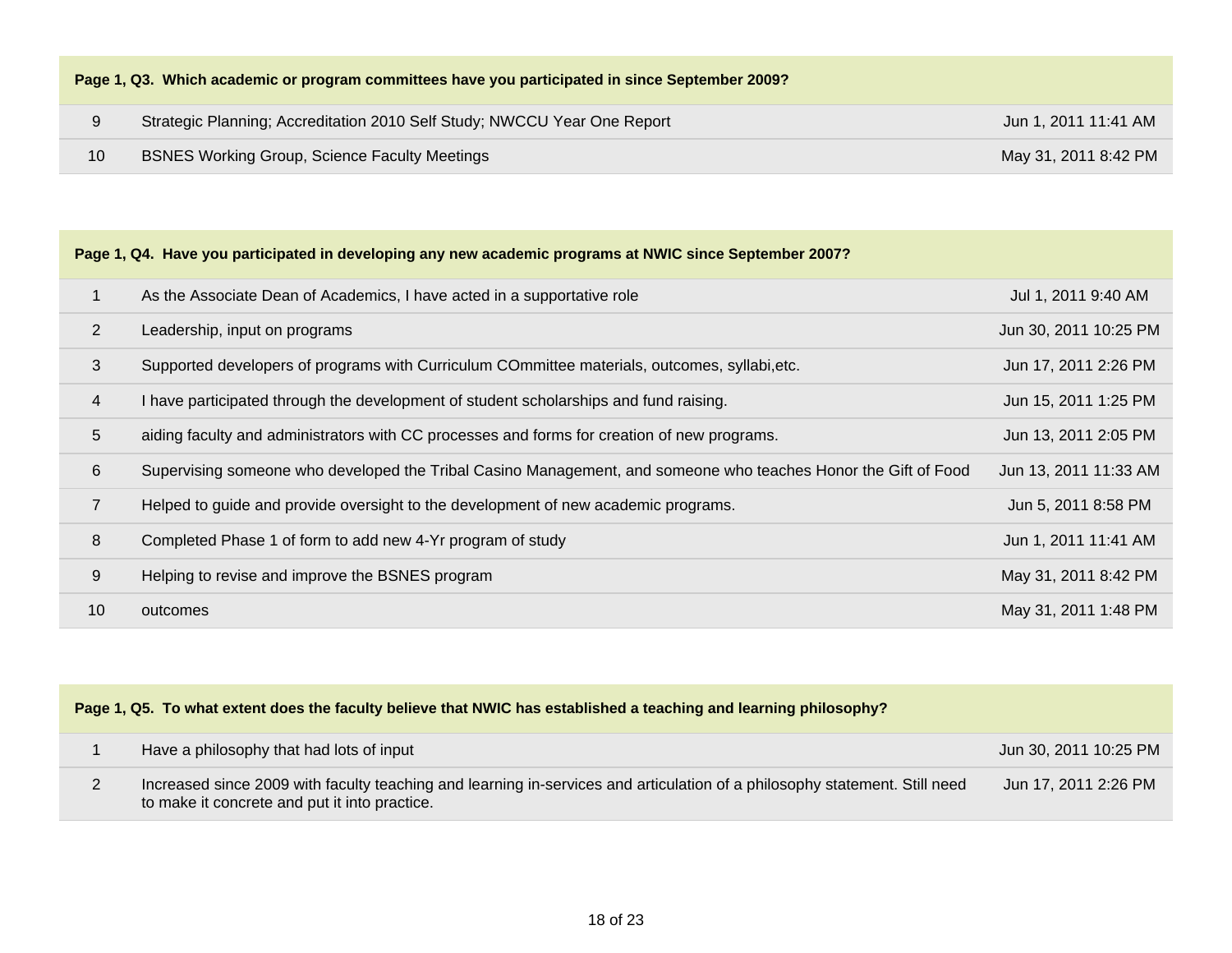| Page 1, Q3. Which academic or program committees have you participated in since September 2009? |                                                                          |                      |
|-------------------------------------------------------------------------------------------------|--------------------------------------------------------------------------|----------------------|
| 9                                                                                               | Strategic Planning; Accreditation 2010 Self Study; NWCCU Year One Report | Jun 1, 2011 11:41 AM |
| 10                                                                                              | <b>BSNES Working Group, Science Faculty Meetings</b>                     | May 31, 2011 8:42 PM |
|                                                                                                 |                                                                          |                      |

|                 | Page 1, Q4. Have you participated in developing any new academic programs at NWIC since September 2007?        |                       |  |  |
|-----------------|----------------------------------------------------------------------------------------------------------------|-----------------------|--|--|
|                 | As the Associate Dean of Academics, I have acted in a supportative role                                        | Jul 1, 2011 9:40 AM   |  |  |
| $\overline{2}$  | Leadership, input on programs                                                                                  | Jun 30, 2011 10:25 PM |  |  |
| 3               | Supported developers of programs with Curriculum COmmittee materials, outcomes, syllabi, etc.                  | Jun 17, 2011 2:26 PM  |  |  |
| $\overline{4}$  | I have participated through the development of student scholarships and fund raising.                          | Jun 15, 2011 1:25 PM  |  |  |
| $5\overline{)}$ | aiding faculty and administrators with CC processes and forms for creation of new programs.                    | Jun 13, 2011 2:05 PM  |  |  |
| 6               | Supervising someone who developed the Tribal Casino Management, and someone who teaches Honor the Gift of Food | Jun 13, 2011 11:33 AM |  |  |
| $\overline{7}$  | Helped to guide and provide oversight to the development of new academic programs.                             | Jun 5, 2011 8:58 PM   |  |  |
| 8               | Completed Phase 1 of form to add new 4-Yr program of study                                                     | Jun 1, 2011 11:41 AM  |  |  |
| 9               | Helping to revise and improve the BSNES program                                                                | May 31, 2011 8:42 PM  |  |  |
| 10              | outcomes                                                                                                       | May 31, 2011 1:48 PM  |  |  |

| Page 1, Q5. To what extent does the faculty believe that NWIC has established a teaching and learning philosophy? |                                                                                                                                                                             |                       |  |
|-------------------------------------------------------------------------------------------------------------------|-----------------------------------------------------------------------------------------------------------------------------------------------------------------------------|-----------------------|--|
|                                                                                                                   | Have a philosophy that had lots of input                                                                                                                                    | Jun 30, 2011 10:25 PM |  |
|                                                                                                                   | Increased since 2009 with faculty teaching and learning in-services and articulation of a philosophy statement. Still need<br>to make it concrete and put it into practice. | Jun 17, 2011 2:26 PM  |  |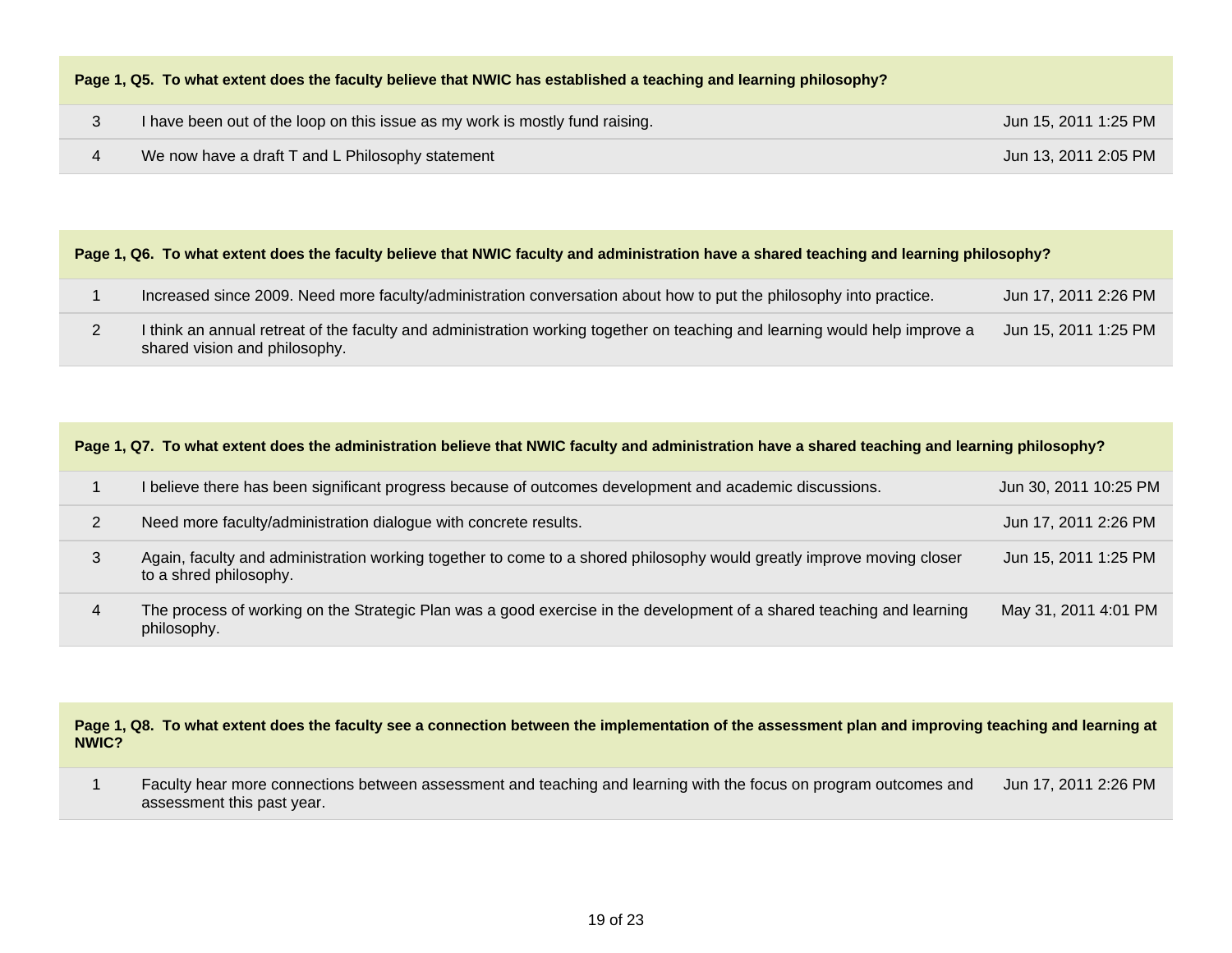|  |  |  | Page 1, Q5. To what extent does the faculty believe that NWIC has established a teaching and learning philosophy? |
|--|--|--|-------------------------------------------------------------------------------------------------------------------|
|--|--|--|-------------------------------------------------------------------------------------------------------------------|

| I have been out of the loop on this issue as my work is mostly fund raising. | Jun 15, 2011 1:25 PM |
|------------------------------------------------------------------------------|----------------------|
| We now have a draft T and L Philosophy statement                             | Jun 13, 2011 2:05 PM |

| Page 1, Q6. To what extent does the faculty believe that NWIC faculty and administration have a shared teaching and learning philosophy? |                                                                                                                                                             |                      |  |
|------------------------------------------------------------------------------------------------------------------------------------------|-------------------------------------------------------------------------------------------------------------------------------------------------------------|----------------------|--|
|                                                                                                                                          | Increased since 2009. Need more faculty/administration conversation about how to put the philosophy into practice.                                          | Jun 17, 2011 2:26 PM |  |
|                                                                                                                                          | I think an annual retreat of the faculty and administration working together on teaching and learning would help improve a<br>shared vision and philosophy. | Jun 15, 2011 1:25 PM |  |

| Page 1, Q7. To what extent does the administration believe that NWIC faculty and administration have a shared teaching and learning philosophy? |                                                                                                                                                 |                       |
|-------------------------------------------------------------------------------------------------------------------------------------------------|-------------------------------------------------------------------------------------------------------------------------------------------------|-----------------------|
|                                                                                                                                                 | I believe there has been significant progress because of outcomes development and academic discussions.                                         | Jun 30, 2011 10:25 PM |
| 2                                                                                                                                               | Need more faculty/administration dialogue with concrete results.                                                                                | Jun 17, 2011 2:26 PM  |
| 3                                                                                                                                               | Again, faculty and administration working together to come to a shored philosophy would greatly improve moving closer<br>to a shred philosophy. | Jun 15, 2011 1:25 PM  |
| 4                                                                                                                                               | The process of working on the Strategic Plan was a good exercise in the development of a shared teaching and learning<br>philosophy.            | May 31, 2011 4:01 PM  |

#### **Page 1, Q8. To what extent does the faculty see a connection between the implementation of the assessment plan and improving teaching and learning at NWIC?**

1 Faculty hear more connections between assessment and teaching and learning with the focus on program outcomes and assessment this past year. Jun 17, 2011 2:26 PM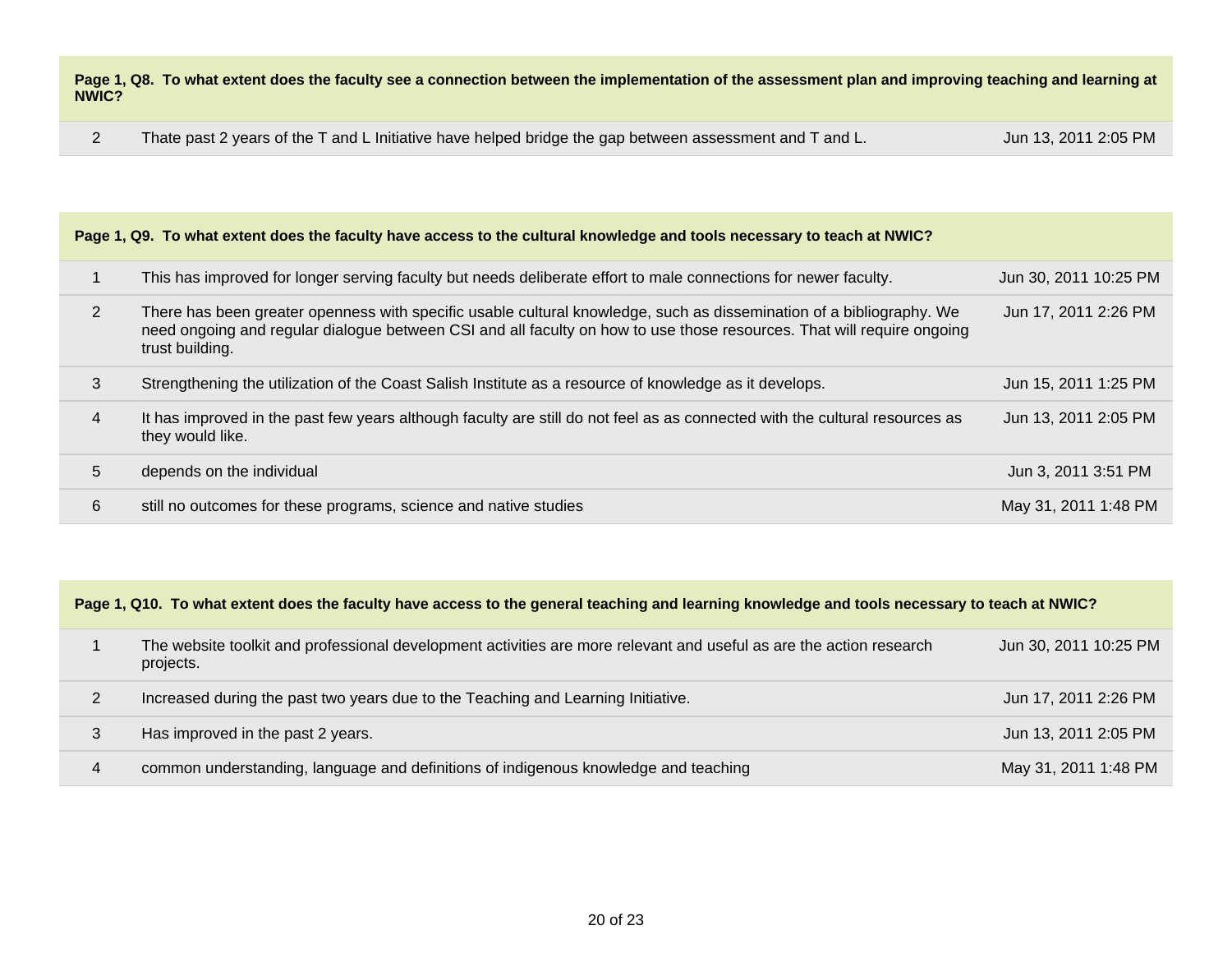**Page 1, Q8. To what extent does the faculty see a connection between the implementation of the assessment plan and improving teaching and learning at NWIC?**

2 Thate past 2 years of the T and L Initiative have helped bridge the gap between assessment and T and L. Jun 13, 2011 2:05 PM

| Page 1, Q9. To what extent does the faculty have access to the cultural knowledge and tools necessary to teach at NWIC? |                                                                                                                                                                                                                                                                   |                       |  |
|-------------------------------------------------------------------------------------------------------------------------|-------------------------------------------------------------------------------------------------------------------------------------------------------------------------------------------------------------------------------------------------------------------|-----------------------|--|
|                                                                                                                         | This has improved for longer serving faculty but needs deliberate effort to male connections for newer faculty.                                                                                                                                                   | Jun 30, 2011 10:25 PM |  |
| 2                                                                                                                       | There has been greater openness with specific usable cultural knowledge, such as dissemination of a bibliography. We<br>need ongoing and regular dialogue between CSI and all faculty on how to use those resources. That will require ongoing<br>trust building. | Jun 17, 2011 2:26 PM  |  |
| 3                                                                                                                       | Strengthening the utilization of the Coast Salish Institute as a resource of knowledge as it develops.                                                                                                                                                            | Jun 15, 2011 1:25 PM  |  |
| 4                                                                                                                       | It has improved in the past few years although faculty are still do not feel as as connected with the cultural resources as<br>they would like.                                                                                                                   | Jun 13, 2011 2:05 PM  |  |
| 5                                                                                                                       | depends on the individual                                                                                                                                                                                                                                         | Jun 3, 2011 3:51 PM   |  |
| 6                                                                                                                       | still no outcomes for these programs, science and native studies                                                                                                                                                                                                  | May 31, 2011 1:48 PM  |  |

| Page 1, Q10. To what extent does the faculty have access to the general teaching and learning knowledge and tools necessary to teach at NWIC? |                                                                                                                                  |                       |  |
|-----------------------------------------------------------------------------------------------------------------------------------------------|----------------------------------------------------------------------------------------------------------------------------------|-----------------------|--|
|                                                                                                                                               | The website toolkit and professional development activities are more relevant and useful as are the action research<br>projects. | Jun 30, 2011 10:25 PM |  |
| າ                                                                                                                                             | Increased during the past two years due to the Teaching and Learning Initiative.                                                 | Jun 17, 2011 2:26 PM  |  |
| 3                                                                                                                                             | Has improved in the past 2 years.                                                                                                | Jun 13, 2011 2:05 PM  |  |
| 4                                                                                                                                             | common understanding, language and definitions of indigenous knowledge and teaching                                              | May 31, 2011 1:48 PM  |  |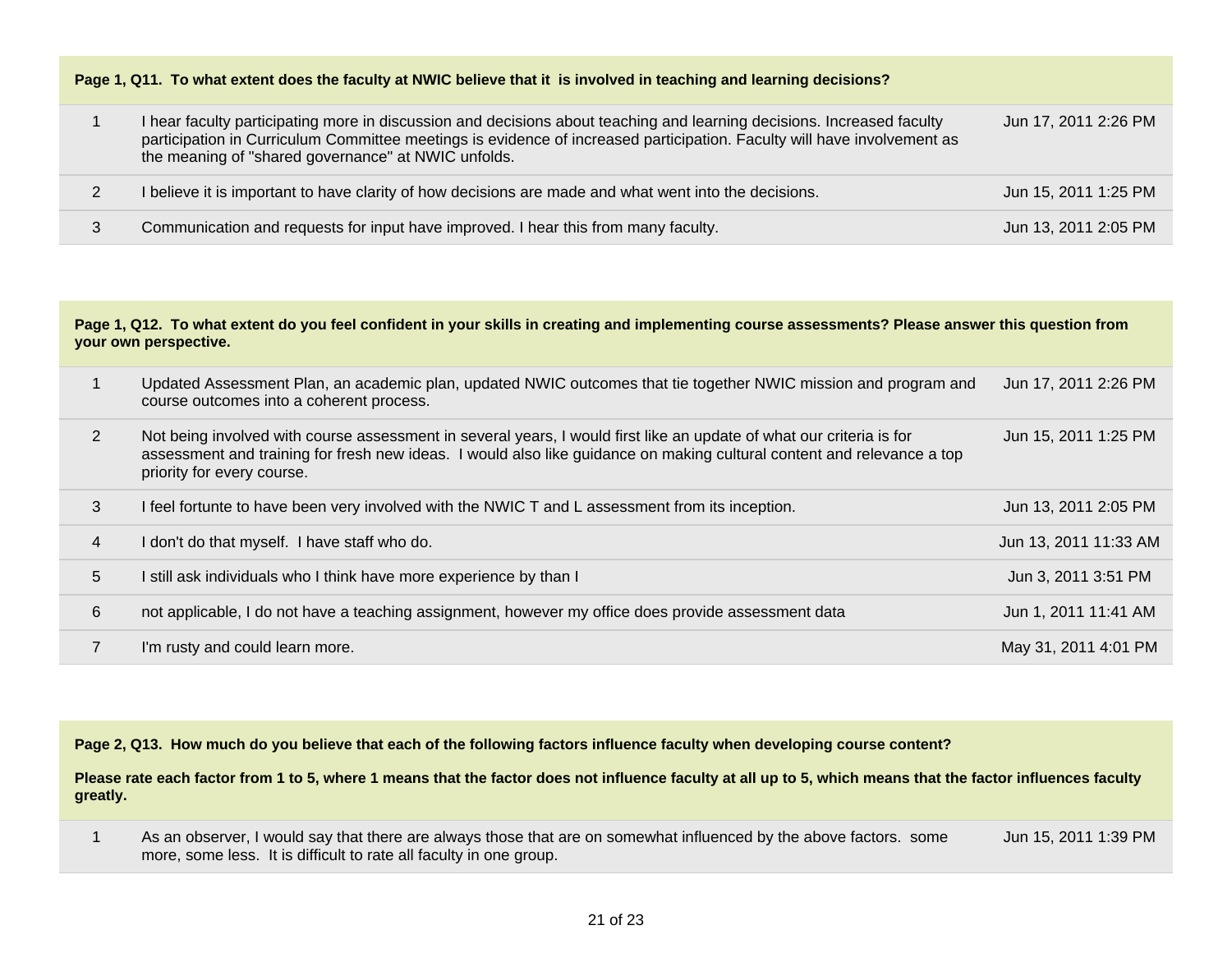| Page 1, Q11. To what extent does the faculty at NWIC believe that it is involved in teaching and learning decisions? |                                                                                                                                                                                                                                                                                                          |                      |  |
|----------------------------------------------------------------------------------------------------------------------|----------------------------------------------------------------------------------------------------------------------------------------------------------------------------------------------------------------------------------------------------------------------------------------------------------|----------------------|--|
|                                                                                                                      | I hear faculty participating more in discussion and decisions about teaching and learning decisions. Increased faculty<br>participation in Curriculum Committee meetings is evidence of increased participation. Faculty will have involvement as<br>the meaning of "shared governance" at NWIC unfolds. | Jun 17, 2011 2:26 PM |  |
|                                                                                                                      | I believe it is important to have clarity of how decisions are made and what went into the decisions.                                                                                                                                                                                                    | Jun 15, 2011 1:25 PM |  |
| 3                                                                                                                    | Communication and requests for input have improved. I hear this from many faculty.                                                                                                                                                                                                                       | Jun 13, 2011 2:05 PM |  |

| Page 1, Q12. To what extent do you feel confident in your skills in creating and implementing course assessments? Please answer this question from<br>your own perspective. |                                                                                                                                                                                                                                                                              |                       |
|-----------------------------------------------------------------------------------------------------------------------------------------------------------------------------|------------------------------------------------------------------------------------------------------------------------------------------------------------------------------------------------------------------------------------------------------------------------------|-----------------------|
|                                                                                                                                                                             | Updated Assessment Plan, an academic plan, updated NWIC outcomes that tie together NWIC mission and program and<br>course outcomes into a coherent process.                                                                                                                  | Jun 17, 2011 2:26 PM  |
| $\overline{2}$                                                                                                                                                              | Not being involved with course assessment in several years, I would first like an update of what our criteria is for<br>assessment and training for fresh new ideas. I would also like guidance on making cultural content and relevance a top<br>priority for every course. | Jun 15, 2011 1:25 PM  |
| 3                                                                                                                                                                           | I feel fortunte to have been very involved with the NWIC T and L assessment from its inception.                                                                                                                                                                              | Jun 13, 2011 2:05 PM  |
| 4                                                                                                                                                                           | I don't do that myself. I have staff who do.                                                                                                                                                                                                                                 | Jun 13, 2011 11:33 AM |
| 5                                                                                                                                                                           | I still ask individuals who I think have more experience by than I                                                                                                                                                                                                           | Jun 3, 2011 3:51 PM   |
| 6                                                                                                                                                                           | not applicable, I do not have a teaching assignment, however my office does provide assessment data                                                                                                                                                                          | Jun 1, 2011 11:41 AM  |
|                                                                                                                                                                             | I'm rusty and could learn more.                                                                                                                                                                                                                                              | May 31, 2011 4:01 PM  |

**Page 2, Q13. How much do you believe that each of the following factors influence faculty when developing course content?** 

**Please rate each factor from 1 to 5, where 1 means that the factor does not influence faculty at all up to 5, which means that the factor influences faculty greatly.** 

1 As an observer, I would say that there are always those that are on somewhat influenced by the above factors. some more, some less. It is difficult to rate all faculty in one group. Jun 15, 2011 1:39 PM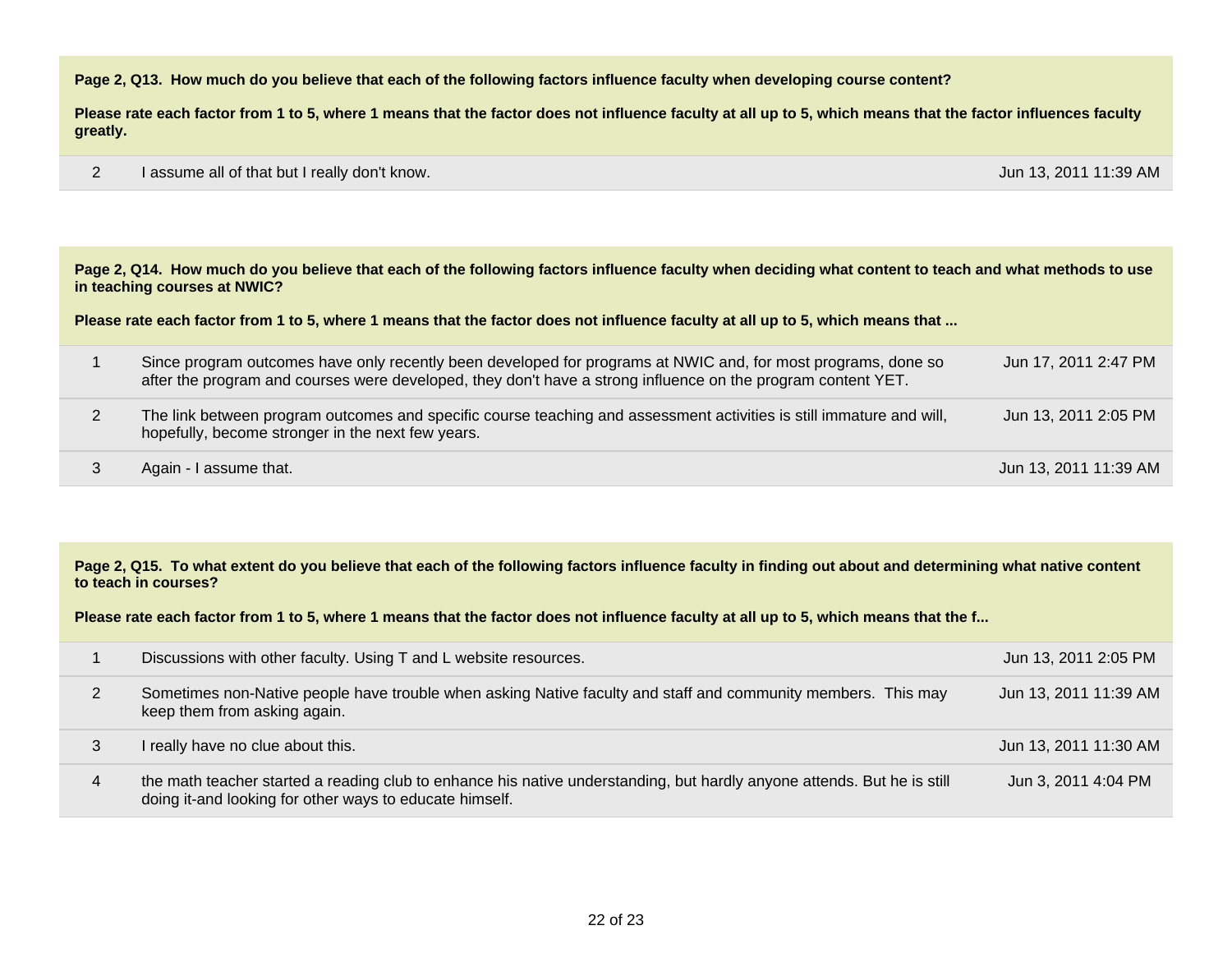**Page 2, Q13. How much do you believe that each of the following factors influence faculty when developing course content?** 

**Please rate each factor from 1 to 5, where 1 means that the factor does not influence faculty at all up to 5, which means that the factor influences faculty greatly.** 

2 I assume all of that but I really don't know. Jun 13, 2011 11:39 AM

**Page 2, Q14. How much do you believe that each of the following factors influence faculty when deciding what content to teach and what methods to use in teaching courses at NWIC? Please rate each factor from 1 to 5, where 1 means that the factor does not influence faculty at all up to 5, which means that ...** 1 Since program outcomes have only recently been developed for programs at NWIC and, for most programs, done so after the program and courses were developed, they don't have a strong influence on the program content YET. Jun 17, 2011 2:47 PM 2 The link between program outcomes and specific course teaching and assessment activities is still immature and will, hopefully, become stronger in the next few years. Jun 13, 2011 2:05 PM 3 Again - I assume that. Jun 13, 2011 11:39 AM

#### **Page 2, Q15. To what extent do you believe that each of the following factors influence faculty in finding out about and determining what native content to teach in courses?**

**Please rate each factor from 1 to 5, where 1 means that the factor does not influence faculty at all up to 5, which means that the f...**

|   | Discussions with other faculty. Using T and L website resources.                                                                                                                   | Jun 13, 2011 2:05 PM  |
|---|------------------------------------------------------------------------------------------------------------------------------------------------------------------------------------|-----------------------|
|   | Sometimes non-Native people have trouble when asking Native faculty and staff and community members. This may<br>keep them from asking again.                                      | Jun 13, 2011 11:39 AM |
|   | I really have no clue about this.                                                                                                                                                  | Jun 13, 2011 11:30 AM |
| 4 | the math teacher started a reading club to enhance his native understanding, but hardly anyone attends. But he is still<br>doing it-and looking for other ways to educate himself. | Jun 3, 2011 4:04 PM   |